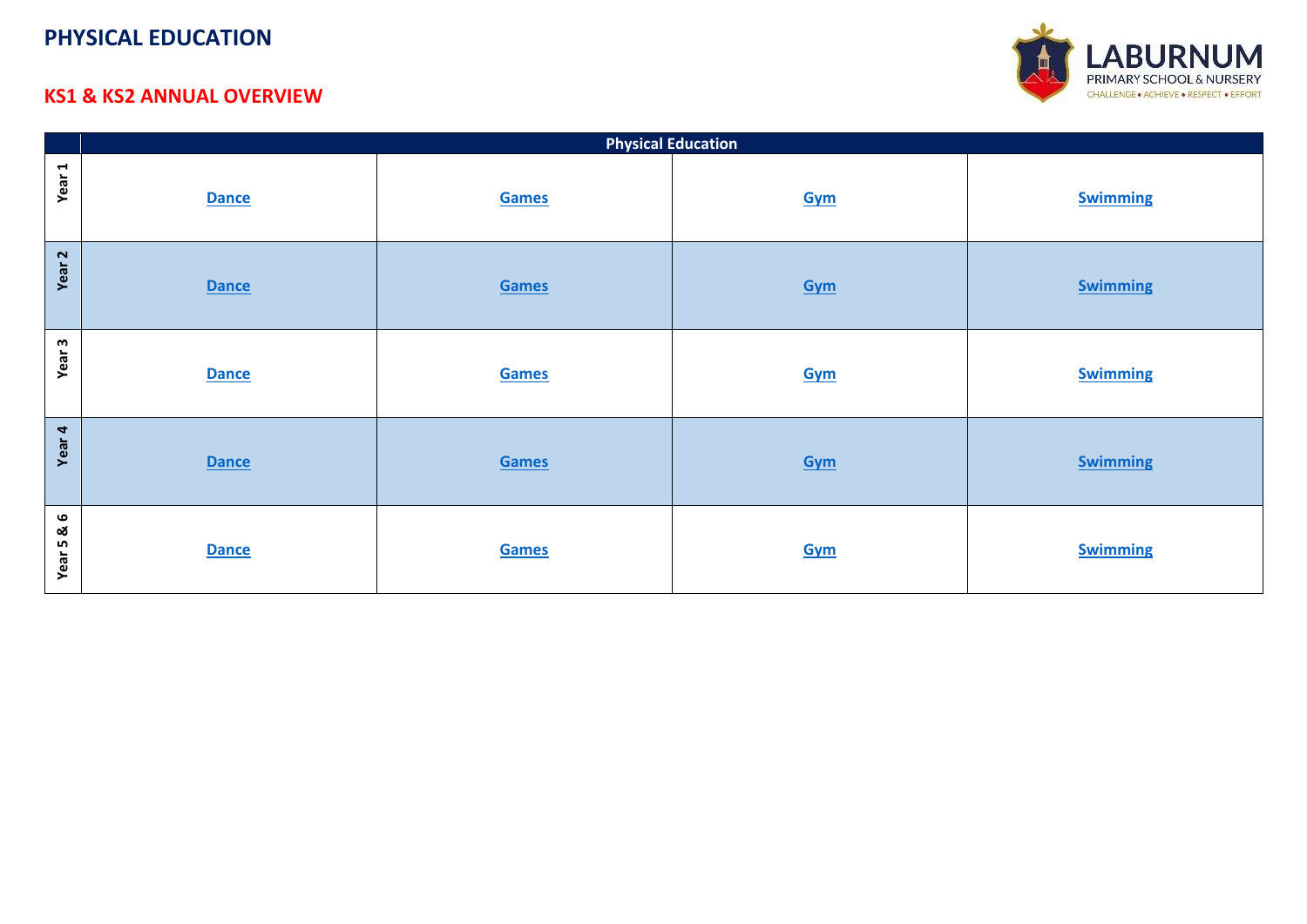

#### <span id="page-0-0"></span>**KS1 & KS2 ANNUAL OVERVIEW**

|                    | <b>Physical Education</b> |       |     |                 |
|--------------------|---------------------------|-------|-----|-----------------|
| Year 1             | <b>Dance</b>              | Games | Gym | <b>Swimming</b> |
| Year <sub>2</sub>  | <b>Dance</b>              | Games | Gym | <b>Swimming</b> |
| Year <sub>3</sub>  | <b>Dance</b>              | Games | Gym | <b>Swimming</b> |
| Year 4             | <b>Dance</b>              | Games | Gym | <b>Swimming</b> |
| <u>ଷ</u><br>Year 5 | <b>Dance</b>              | Games | Gym | <b>Swimming</b> |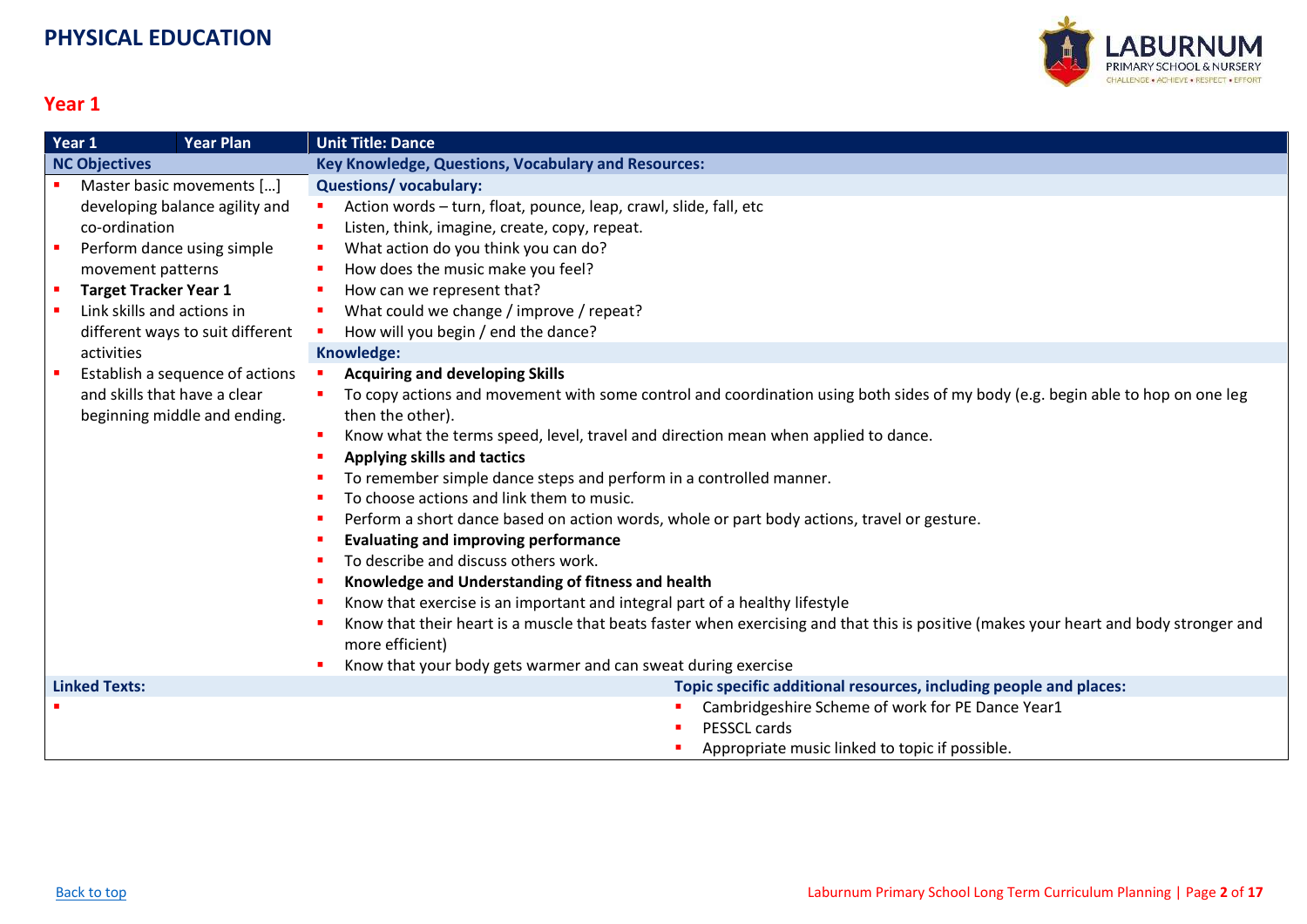

<span id="page-1-0"></span>

|                            | Year 1<br><b>Year Plan</b>       | <b>Unit Title: Dance</b>                                                                                                              |
|----------------------------|----------------------------------|---------------------------------------------------------------------------------------------------------------------------------------|
| <b>NC Objectives</b>       |                                  | Key Knowledge, Questions, Vocabulary and Resources:                                                                                   |
|                            | Master basic movements []        | <b>Questions/vocabulary:</b>                                                                                                          |
|                            | developing balance agility and   | Action words - turn, float, pounce, leap, crawl, slide, fall, etc<br>п                                                                |
|                            | co-ordination                    | Listen, think, imagine, create, copy, repeat.<br>п                                                                                    |
|                            | Perform dance using simple       | What action do you think you can do?<br>п                                                                                             |
|                            | movement patterns                | How does the music make you feel?<br>п                                                                                                |
| $\blacksquare$             | <b>Target Tracker Year 1</b>     | How can we represent that?                                                                                                            |
| $\mathcal{L}_{\mathbf{r}}$ | Link skills and actions in       | What could we change / improve / repeat?<br>п                                                                                         |
|                            | different ways to suit different | How will you begin / end the dance?                                                                                                   |
|                            | activities                       | Knowledge:                                                                                                                            |
|                            | Establish a sequence of actions  | <b>Acquiring and developing Skills</b>                                                                                                |
|                            | and skills that have a clear     | To copy actions and movement with some control and coordination using both sides of my body (e.g. begin able to hop on one leg        |
|                            | beginning middle and ending.     | then the other).                                                                                                                      |
|                            |                                  | Know what the terms speed, level, travel and direction mean when applied to dance.<br>п                                               |
|                            |                                  | <b>Applying skills and tactics</b>                                                                                                    |
|                            |                                  | To remember simple dance steps and perform in a controlled manner.                                                                    |
|                            |                                  | To choose actions and link them to music.                                                                                             |
|                            |                                  | Perform a short dance based on action words, whole or part body actions, travel or gesture.<br>п                                      |
|                            |                                  | <b>Evaluating and improving performance</b>                                                                                           |
|                            |                                  | To describe and discuss others work.                                                                                                  |
|                            |                                  | Knowledge and Understanding of fitness and health                                                                                     |
|                            |                                  | Know that exercise is an important and integral part of a healthy lifestyle                                                           |
|                            |                                  | Know that their heart is a muscle that beats faster when exercising and that this is positive (makes your heart and body stronger and |
|                            |                                  | more efficient)                                                                                                                       |
|                            |                                  | Know that your body gets warmer and can sweat during exercise                                                                         |
|                            | <b>Linked Texts:</b>             | Topic specific additional resources, including people and places:                                                                     |
|                            |                                  | Cambridgeshire Scheme of work for PE Dance Year1                                                                                      |
|                            |                                  | PESSCL cards                                                                                                                          |
|                            |                                  | Appropriate music linked to topic if possible.                                                                                        |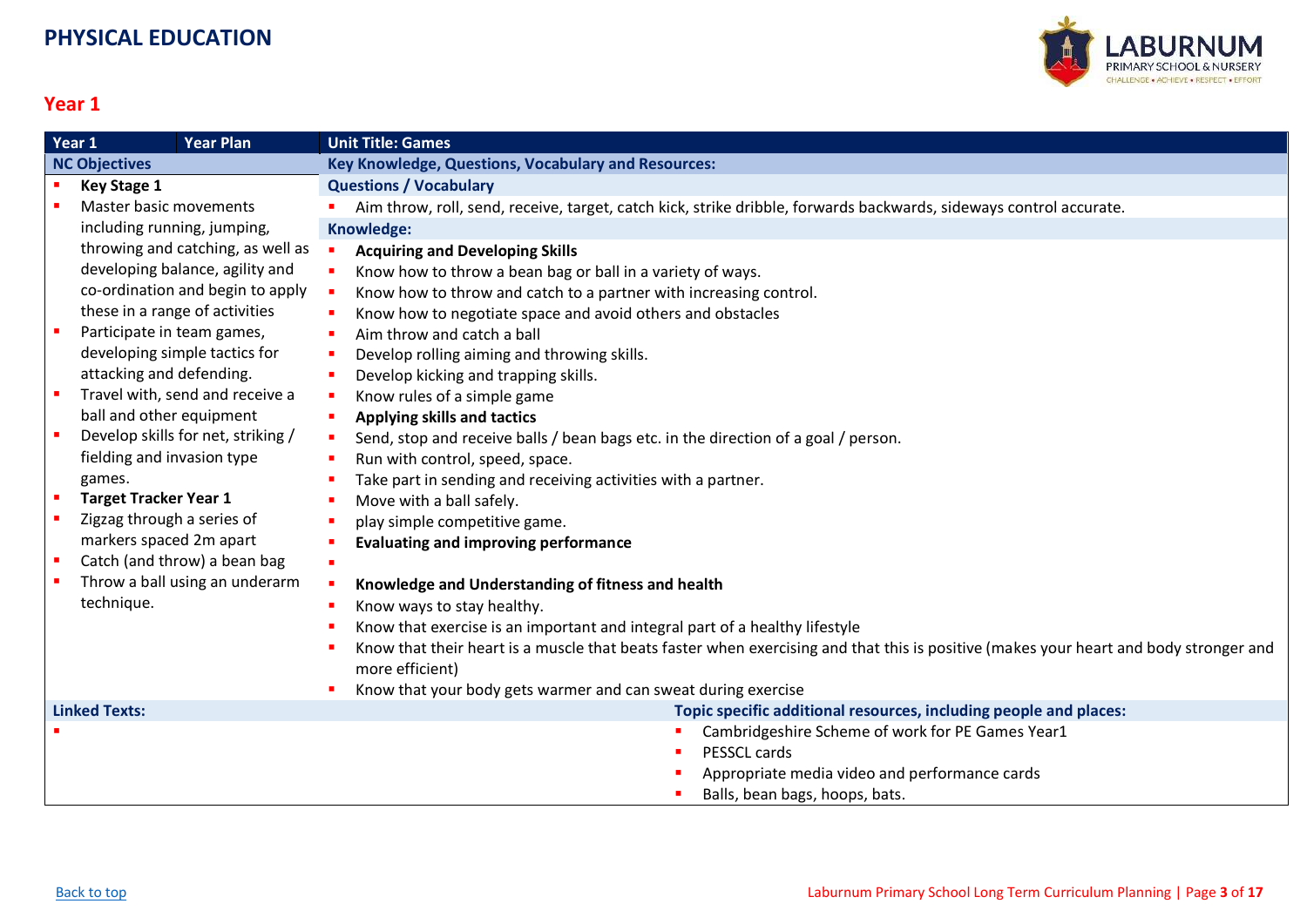

<span id="page-2-0"></span>

| Year 1               | <b>Year Plan</b>                   | <b>Unit Title: Games</b>                                                                                                              |
|----------------------|------------------------------------|---------------------------------------------------------------------------------------------------------------------------------------|
| <b>NC Objectives</b> |                                    | <b>Key Knowledge, Questions, Vocabulary and Resources:</b>                                                                            |
|                      | <b>Key Stage 1</b>                 | <b>Questions / Vocabulary</b>                                                                                                         |
|                      | Master basic movements             | Aim throw, roll, send, receive, target, catch kick, strike dribble, forwards backwards, sideways control accurate.                    |
|                      | including running, jumping,        | <b>Knowledge:</b>                                                                                                                     |
|                      | throwing and catching, as well as  | <b>Acquiring and Developing Skills</b>                                                                                                |
|                      | developing balance, agility and    | Know how to throw a bean bag or ball in a variety of ways.                                                                            |
|                      | co-ordination and begin to apply   | Know how to throw and catch to a partner with increasing control.                                                                     |
|                      | these in a range of activities     | Know how to negotiate space and avoid others and obstacles                                                                            |
|                      | Participate in team games,         | Aim throw and catch a ball                                                                                                            |
|                      | developing simple tactics for      | Develop rolling aiming and throwing skills.                                                                                           |
|                      | attacking and defending.           | Develop kicking and trapping skills.                                                                                                  |
|                      | Travel with, send and receive a    | Know rules of a simple game                                                                                                           |
|                      | ball and other equipment           | <b>Applying skills and tactics</b><br>п.                                                                                              |
| ×.                   | Develop skills for net, striking / | Send, stop and receive balls / bean bags etc. in the direction of a goal / person.                                                    |
|                      | fielding and invasion type         | Run with control, speed, space.                                                                                                       |
|                      | games.                             | Take part in sending and receiving activities with a partner.                                                                         |
| ×                    | <b>Target Tracker Year 1</b>       | Move with a ball safely.                                                                                                              |
|                      | Zigzag through a series of         | play simple competitive game.                                                                                                         |
|                      | markers spaced 2m apart            | <b>Evaluating and improving performance</b>                                                                                           |
| ×                    | Catch (and throw) a bean bag       |                                                                                                                                       |
|                      | Throw a ball using an underarm     | Knowledge and Understanding of fitness and health                                                                                     |
|                      | technique.                         | Know ways to stay healthy.                                                                                                            |
|                      |                                    | Know that exercise is an important and integral part of a healthy lifestyle                                                           |
|                      |                                    | Know that their heart is a muscle that beats faster when exercising and that this is positive (makes your heart and body stronger and |
|                      |                                    | more efficient)                                                                                                                       |
|                      |                                    | Know that your body gets warmer and can sweat during exercise                                                                         |
|                      | <b>Linked Texts:</b>               | Topic specific additional resources, including people and places:                                                                     |
|                      |                                    | Cambridgeshire Scheme of work for PE Games Year1                                                                                      |
|                      |                                    | PESSCL cards                                                                                                                          |
|                      |                                    | Appropriate media video and performance cards                                                                                         |
|                      |                                    | Balls, bean bags, hoops, bats.                                                                                                        |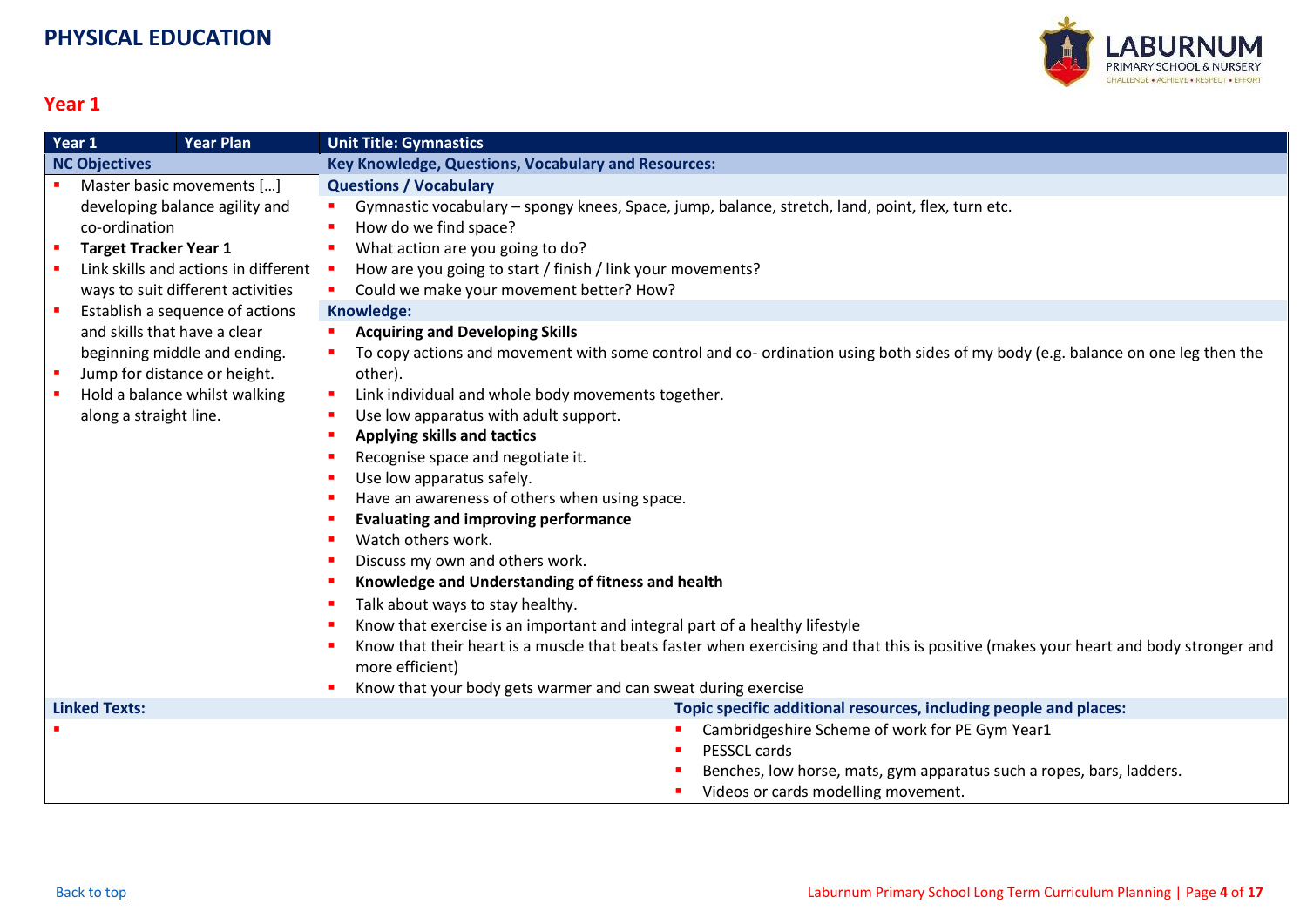

<span id="page-3-0"></span>

|                      | Year 1<br><b>Year Plan</b>           | <b>Unit Title: Gymnastics</b>                                                                                                         |
|----------------------|--------------------------------------|---------------------------------------------------------------------------------------------------------------------------------------|
| <b>NC Objectives</b> |                                      | Key Knowledge, Questions, Vocabulary and Resources:                                                                                   |
|                      | Master basic movements []            | <b>Questions / Vocabulary</b>                                                                                                         |
|                      | developing balance agility and       | Gymnastic vocabulary - spongy knees, Space, jump, balance, stretch, land, point, flex, turn etc.                                      |
|                      | co-ordination                        | How do we find space?                                                                                                                 |
| $\blacksquare$       | <b>Target Tracker Year 1</b>         | What action are you going to do?<br>$\mathcal{L}_{\mathcal{A}}$                                                                       |
|                      | Link skills and actions in different | How are you going to start / finish / link your movements?                                                                            |
|                      | ways to suit different activities    | Could we make your movement better? How?                                                                                              |
|                      | Establish a sequence of actions      | Knowledge:                                                                                                                            |
|                      | and skills that have a clear         | <b>Acquiring and Developing Skills</b>                                                                                                |
|                      | beginning middle and ending.         | To copy actions and movement with some control and co- ordination using both sides of my body (e.g. balance on one leg then the       |
|                      | Jump for distance or height.         | other).                                                                                                                               |
|                      | Hold a balance whilst walking        | Link individual and whole body movements together.                                                                                    |
|                      | along a straight line.               | Use low apparatus with adult support.                                                                                                 |
|                      |                                      | Applying skills and tactics                                                                                                           |
|                      |                                      | Recognise space and negotiate it.                                                                                                     |
|                      |                                      | Use low apparatus safely.                                                                                                             |
|                      |                                      | Have an awareness of others when using space.                                                                                         |
|                      |                                      | <b>Evaluating and improving performance</b>                                                                                           |
|                      |                                      | Watch others work.                                                                                                                    |
|                      |                                      | Discuss my own and others work.                                                                                                       |
|                      |                                      | Knowledge and Understanding of fitness and health                                                                                     |
|                      |                                      | Talk about ways to stay healthy.                                                                                                      |
|                      |                                      | Know that exercise is an important and integral part of a healthy lifestyle                                                           |
|                      |                                      | Know that their heart is a muscle that beats faster when exercising and that this is positive (makes your heart and body stronger and |
|                      |                                      | more efficient)                                                                                                                       |
|                      |                                      | Know that your body gets warmer and can sweat during exercise                                                                         |
| <b>Linked Texts:</b> |                                      | Topic specific additional resources, including people and places:                                                                     |
|                      |                                      | Cambridgeshire Scheme of work for PE Gym Year1                                                                                        |
|                      |                                      | PESSCL cards                                                                                                                          |
|                      |                                      | Benches, low horse, mats, gym apparatus such a ropes, bars, ladders.                                                                  |
|                      |                                      | Videos or cards modelling movement.                                                                                                   |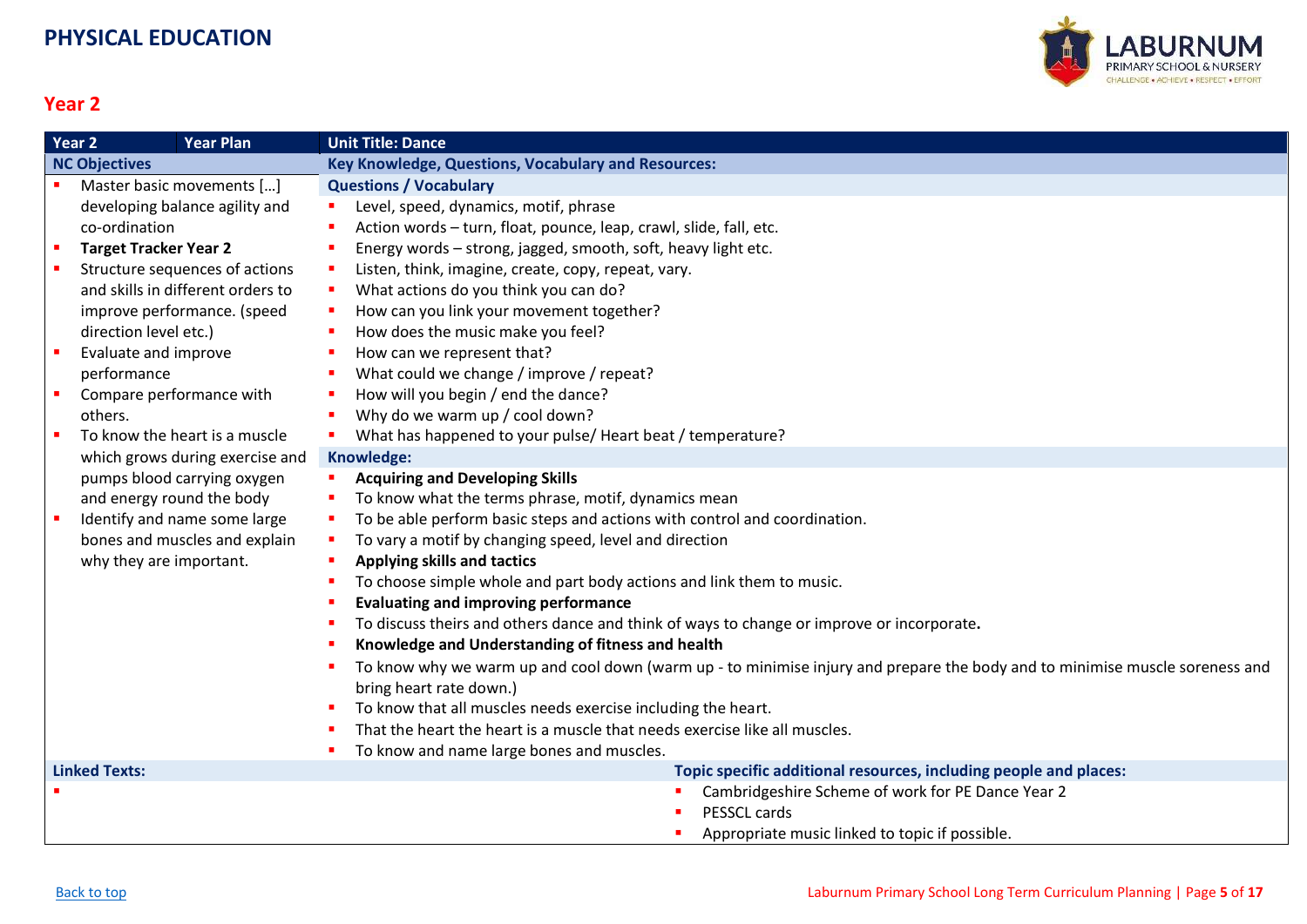

<span id="page-4-0"></span>

| Year 2<br><b>Year Plan</b> |                              |                                   | <b>Unit Title: Dance</b>                                                                                                                                    |
|----------------------------|------------------------------|-----------------------------------|-------------------------------------------------------------------------------------------------------------------------------------------------------------|
| <b>NC Objectives</b>       |                              |                                   | <b>Key Knowledge, Questions, Vocabulary and Resources:</b>                                                                                                  |
|                            |                              | Master basic movements []         | <b>Questions / Vocabulary</b>                                                                                                                               |
|                            |                              | developing balance agility and    | Level, speed, dynamics, motif, phrase<br>п.                                                                                                                 |
|                            | co-ordination                |                                   | Action words - turn, float, pounce, leap, crawl, slide, fall, etc.                                                                                          |
|                            | <b>Target Tracker Year 2</b> |                                   | Energy words - strong, jagged, smooth, soft, heavy light etc.                                                                                               |
|                            |                              | Structure sequences of actions    | Listen, think, imagine, create, copy, repeat, vary.                                                                                                         |
|                            |                              | and skills in different orders to | What actions do you think you can do?                                                                                                                       |
|                            |                              | improve performance. (speed       | How can you link your movement together?<br>a.                                                                                                              |
|                            | direction level etc.)        |                                   | How does the music make you feel?                                                                                                                           |
|                            | Evaluate and improve         |                                   | How can we represent that?                                                                                                                                  |
|                            | performance                  |                                   | What could we change / improve / repeat?                                                                                                                    |
|                            |                              | Compare performance with          | How will you begin / end the dance?                                                                                                                         |
|                            | others.                      |                                   | Why do we warm up / cool down?<br>٠                                                                                                                         |
|                            |                              | To know the heart is a muscle     | What has happened to your pulse/ Heart beat / temperature?                                                                                                  |
|                            |                              | which grows during exercise and   | Knowledge:                                                                                                                                                  |
|                            |                              | pumps blood carrying oxygen       | <b>Acquiring and Developing Skills</b>                                                                                                                      |
|                            |                              | and energy round the body         | To know what the terms phrase, motif, dynamics mean                                                                                                         |
|                            |                              | Identify and name some large      | To be able perform basic steps and actions with control and coordination.<br>٠                                                                              |
|                            |                              | bones and muscles and explain     | To vary a motif by changing speed, level and direction<br>п.                                                                                                |
|                            | why they are important.      |                                   | <b>Applying skills and tactics</b>                                                                                                                          |
|                            |                              |                                   | To choose simple whole and part body actions and link them to music.                                                                                        |
|                            |                              |                                   | <b>Evaluating and improving performance</b>                                                                                                                 |
|                            |                              |                                   | To discuss theirs and others dance and think of ways to change or improve or incorporate.<br>٠                                                              |
|                            |                              |                                   | Knowledge and Understanding of fitness and health                                                                                                           |
|                            |                              |                                   | To know why we warm up and cool down (warm up - to minimise injury and prepare the body and to minimise muscle soreness and<br>٠<br>bring heart rate down.) |
|                            |                              |                                   | To know that all muscles needs exercise including the heart.                                                                                                |
|                            |                              |                                   | That the heart the heart is a muscle that needs exercise like all muscles.                                                                                  |
|                            |                              |                                   | To know and name large bones and muscles.                                                                                                                   |
| <b>Linked Texts:</b>       |                              |                                   | Topic specific additional resources, including people and places:                                                                                           |
|                            |                              |                                   | Cambridgeshire Scheme of work for PE Dance Year 2                                                                                                           |
|                            |                              |                                   | PESSCL cards                                                                                                                                                |
|                            |                              |                                   | Appropriate music linked to topic if possible.                                                                                                              |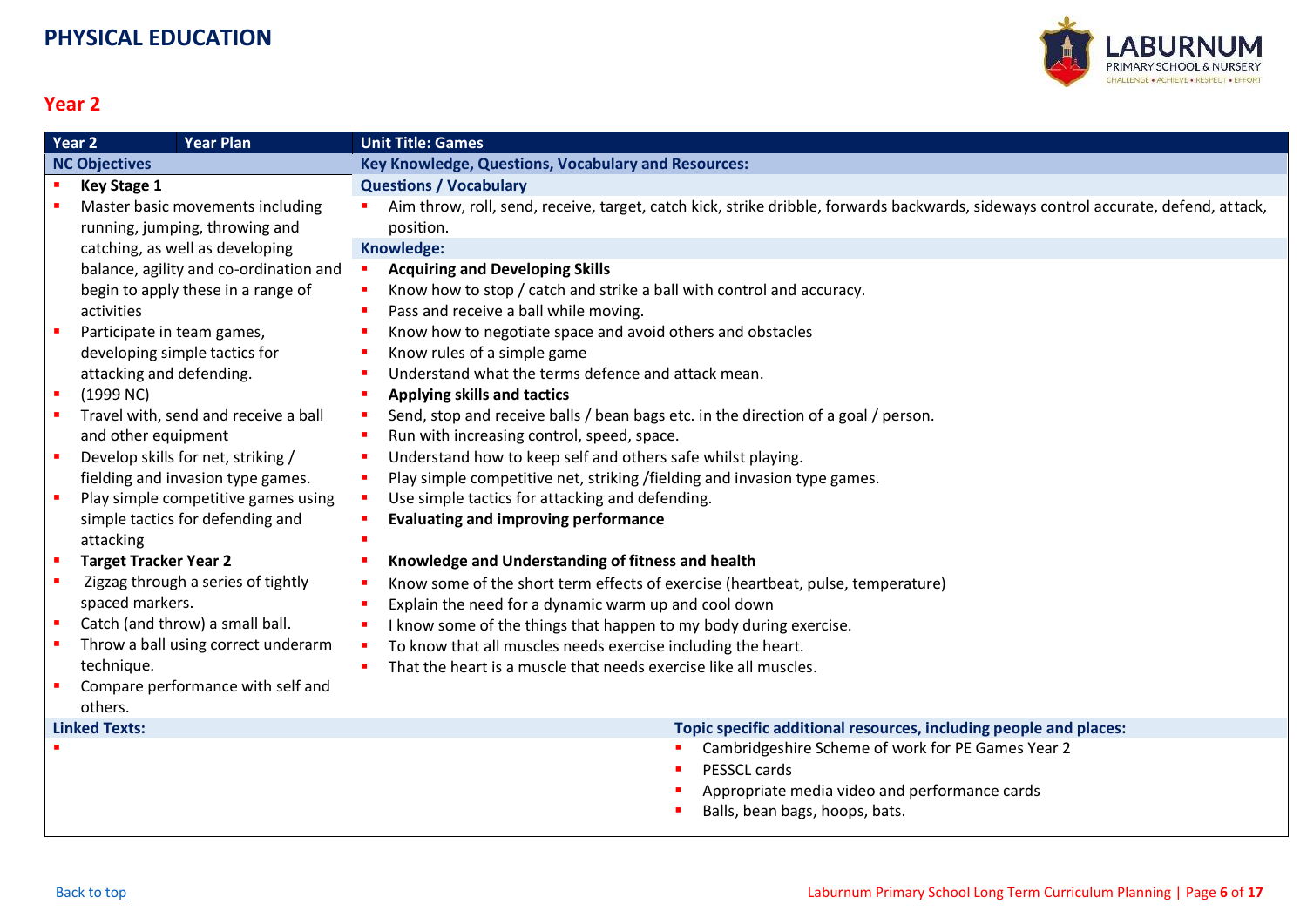

<span id="page-5-0"></span>

|                | <b>Year Plan</b><br>Year <sub>2</sub>  | <b>Unit Title: Games</b>                                                                                                           |
|----------------|----------------------------------------|------------------------------------------------------------------------------------------------------------------------------------|
|                | <b>NC Objectives</b>                   | <b>Key Knowledge, Questions, Vocabulary and Resources:</b>                                                                         |
|                | <b>Key Stage 1</b>                     | <b>Questions / Vocabulary</b>                                                                                                      |
|                | Master basic movements including       | Aim throw, roll, send, receive, target, catch kick, strike dribble, forwards backwards, sideways control accurate, defend, attack, |
|                | running, jumping, throwing and         | position.                                                                                                                          |
|                | catching, as well as developing        | Knowledge:                                                                                                                         |
|                | balance, agility and co-ordination and | <b>Acquiring and Developing Skills</b>                                                                                             |
|                | begin to apply these in a range of     | Know how to stop / catch and strike a ball with control and accuracy.                                                              |
|                | activities                             | Pass and receive a ball while moving.                                                                                              |
|                | Participate in team games,             | Know how to negotiate space and avoid others and obstacles                                                                         |
|                | developing simple tactics for          | Know rules of a simple game                                                                                                        |
|                | attacking and defending.               | Understand what the terms defence and attack mean.                                                                                 |
| $\blacksquare$ | (1999 NC)                              | <b>Applying skills and tactics</b>                                                                                                 |
|                | Travel with, send and receive a ball   | Send, stop and receive balls / bean bags etc. in the direction of a goal / person.<br>ш                                            |
|                | and other equipment                    | Run with increasing control, speed, space.                                                                                         |
| п              | Develop skills for net, striking /     | Understand how to keep self and others safe whilst playing.                                                                        |
|                | fielding and invasion type games.      | Play simple competitive net, striking /fielding and invasion type games.                                                           |
|                | Play simple competitive games using    | Use simple tactics for attacking and defending.                                                                                    |
|                | simple tactics for defending and       | <b>Evaluating and improving performance</b>                                                                                        |
|                | attacking                              |                                                                                                                                    |
| $\blacksquare$ | <b>Target Tracker Year 2</b>           | Knowledge and Understanding of fitness and health                                                                                  |
|                | Zigzag through a series of tightly     | Know some of the short term effects of exercise (heartbeat, pulse, temperature)                                                    |
|                | spaced markers.                        | Explain the need for a dynamic warm up and cool down                                                                               |
| ×              | Catch (and throw) a small ball.        | I know some of the things that happen to my body during exercise.                                                                  |
|                | Throw a ball using correct underarm    | To know that all muscles needs exercise including the heart.                                                                       |
|                | technique.                             | That the heart is a muscle that needs exercise like all muscles.                                                                   |
|                | Compare performance with self and      |                                                                                                                                    |
|                | others.                                |                                                                                                                                    |
|                | <b>Linked Texts:</b>                   | Topic specific additional resources, including people and places:                                                                  |
|                |                                        | Cambridgeshire Scheme of work for PE Games Year 2                                                                                  |
|                |                                        | PESSCL cards                                                                                                                       |

- **•** Appropriate media video and performance cards
- Balls, bean bags, hoops, bats.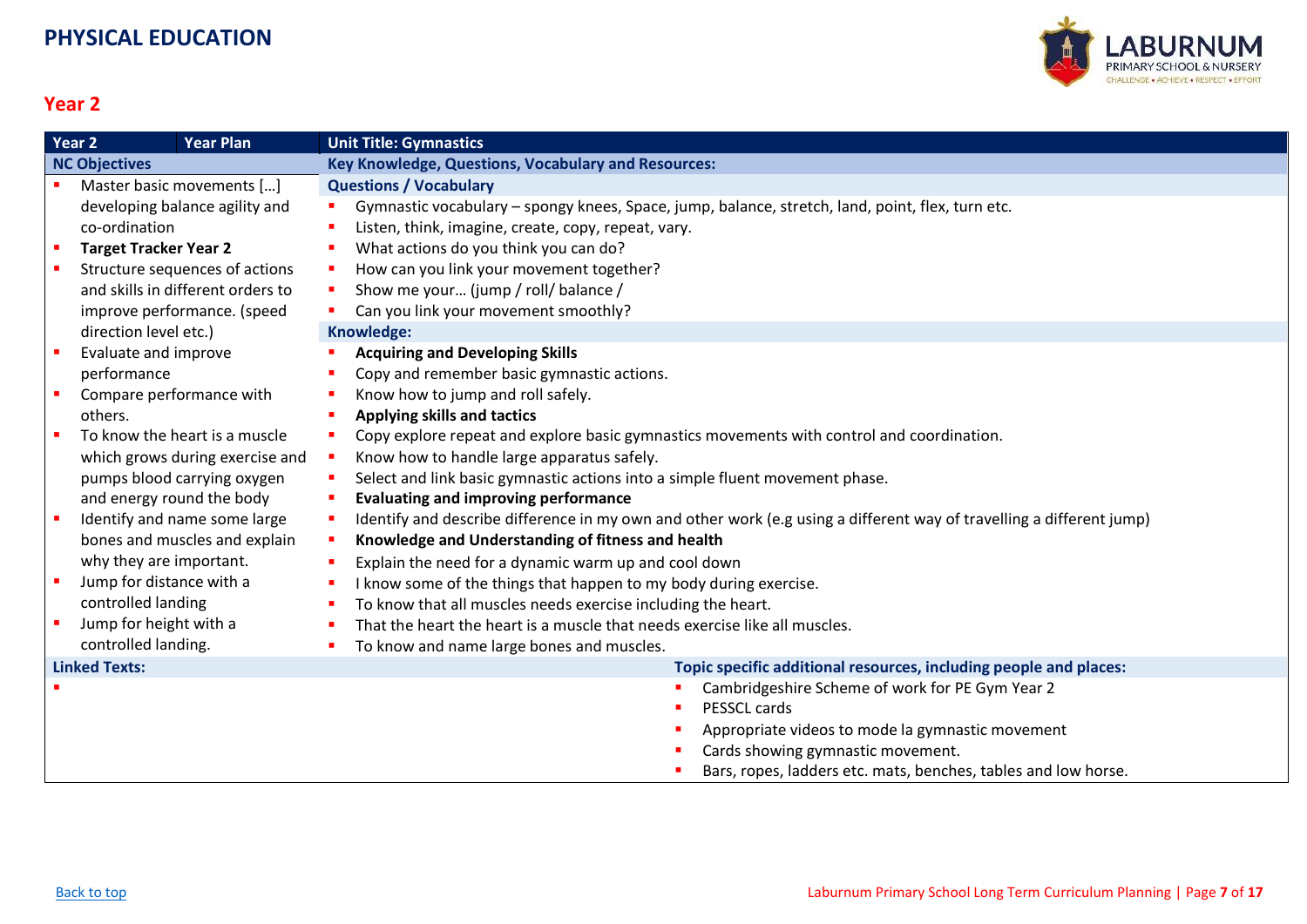

<span id="page-6-0"></span>

|                      | Year 2                       | <b>Year Plan</b>                  | <b>Unit Title: Gymnastics</b>                                                                                        |
|----------------------|------------------------------|-----------------------------------|----------------------------------------------------------------------------------------------------------------------|
| <b>NC Objectives</b> |                              |                                   | Key Knowledge, Questions, Vocabulary and Resources:                                                                  |
|                      |                              | Master basic movements []         | <b>Questions / Vocabulary</b>                                                                                        |
|                      |                              | developing balance agility and    | Gymnastic vocabulary - spongy knees, Space, jump, balance, stretch, land, point, flex, turn etc.                     |
|                      | co-ordination                |                                   | Listen, think, imagine, create, copy, repeat, vary.                                                                  |
|                      | <b>Target Tracker Year 2</b> |                                   | What actions do you think you can do?                                                                                |
|                      |                              | Structure sequences of actions    | How can you link your movement together?                                                                             |
|                      |                              | and skills in different orders to | Show me your (jump / roll/ balance /                                                                                 |
|                      |                              | improve performance. (speed       | Can you link your movement smoothly?                                                                                 |
|                      | direction level etc.)        |                                   | Knowledge:                                                                                                           |
|                      | Evaluate and improve         |                                   | <b>Acquiring and Developing Skills</b>                                                                               |
|                      | performance                  |                                   | Copy and remember basic gymnastic actions.                                                                           |
|                      | Compare performance with     |                                   | Know how to jump and roll safely.                                                                                    |
|                      | others.                      |                                   | <b>Applying skills and tactics</b>                                                                                   |
|                      |                              | To know the heart is a muscle     | Copy explore repeat and explore basic gymnastics movements with control and coordination.                            |
|                      |                              | which grows during exercise and   | Know how to handle large apparatus safely.                                                                           |
|                      |                              | pumps blood carrying oxygen       | Select and link basic gymnastic actions into a simple fluent movement phase.<br>a.                                   |
|                      | and energy round the body    |                                   | <b>Evaluating and improving performance</b>                                                                          |
|                      |                              | Identify and name some large      | Identify and describe difference in my own and other work (e.g using a different way of travelling a different jump) |
|                      |                              | bones and muscles and explain     | Knowledge and Understanding of fitness and health                                                                    |
|                      | why they are important.      |                                   | Explain the need for a dynamic warm up and cool down                                                                 |
|                      | Jump for distance with a     |                                   | I know some of the things that happen to my body during exercise.                                                    |
|                      | controlled landing           |                                   | To know that all muscles needs exercise including the heart.                                                         |
|                      | Jump for height with a       |                                   | That the heart the heart is a muscle that needs exercise like all muscles.                                           |
|                      | controlled landing.          |                                   | To know and name large bones and muscles.                                                                            |
| <b>Linked Texts:</b> |                              |                                   | Topic specific additional resources, including people and places:                                                    |
|                      |                              |                                   | Cambridgeshire Scheme of work for PE Gym Year 2                                                                      |
|                      |                              |                                   | PESSCL cards                                                                                                         |
|                      |                              |                                   | Appropriate videos to mode la gymnastic movement                                                                     |
|                      |                              |                                   | Cards showing gymnastic movement.                                                                                    |
|                      |                              |                                   | Bars, ropes, ladders etc. mats, benches, tables and low horse.                                                       |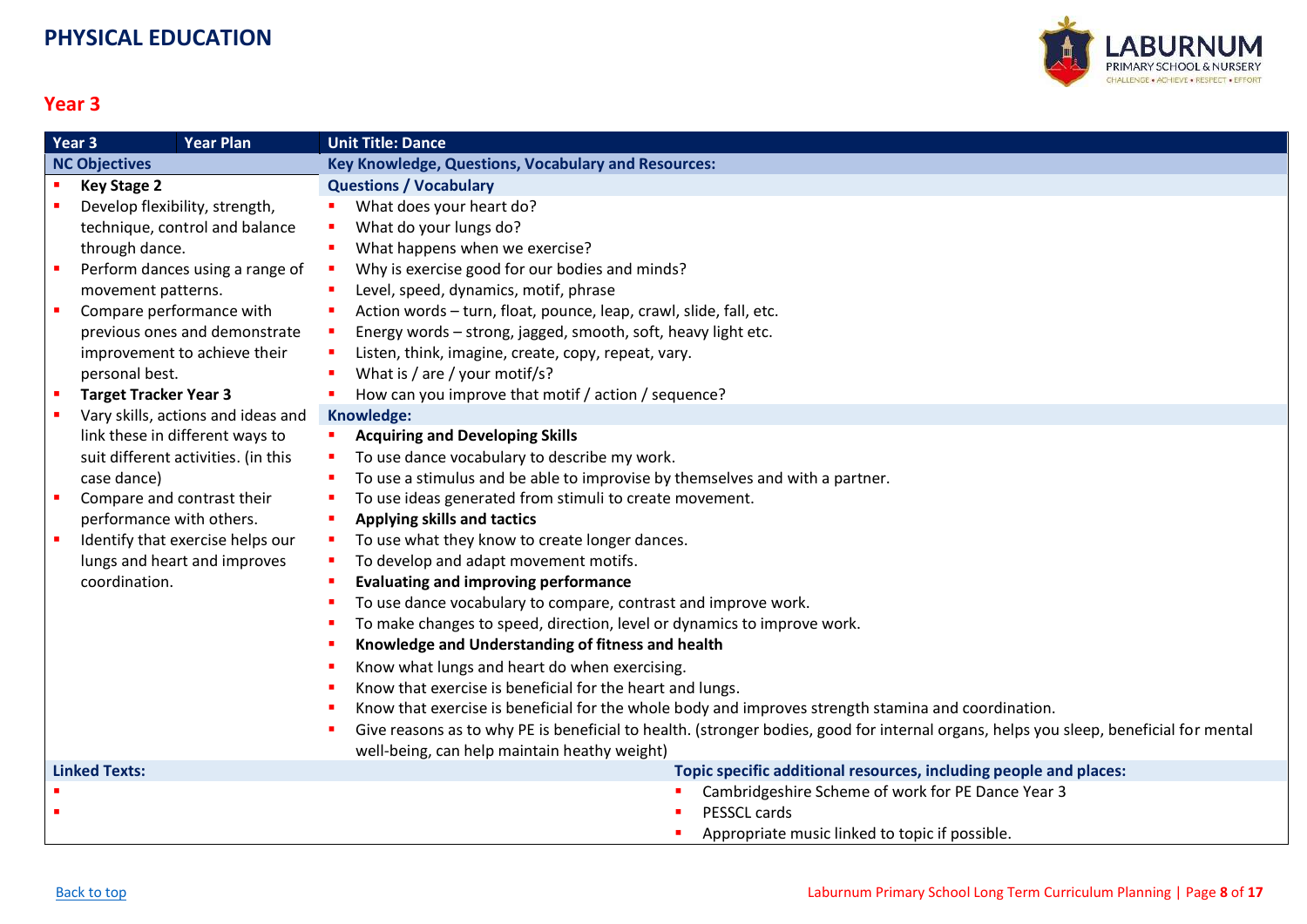

<span id="page-7-0"></span>

|                      | Year <sub>3</sub><br><b>Year Plan</b> | <b>Unit Title: Dance</b>                                                                                                              |
|----------------------|---------------------------------------|---------------------------------------------------------------------------------------------------------------------------------------|
| <b>NC Objectives</b> |                                       | <b>Key Knowledge, Questions, Vocabulary and Resources:</b>                                                                            |
|                      | <b>Key Stage 2</b>                    | <b>Questions / Vocabulary</b>                                                                                                         |
|                      | Develop flexibility, strength,        | What does your heart do?                                                                                                              |
|                      | technique, control and balance        | What do your lungs do?                                                                                                                |
|                      | through dance.                        | What happens when we exercise?                                                                                                        |
|                      | Perform dances using a range of       | Why is exercise good for our bodies and minds?                                                                                        |
|                      | movement patterns.                    | Level, speed, dynamics, motif, phrase                                                                                                 |
|                      | Compare performance with              | Action words - turn, float, pounce, leap, crawl, slide, fall, etc.                                                                    |
|                      | previous ones and demonstrate         | Energy words - strong, jagged, smooth, soft, heavy light etc.                                                                         |
|                      | improvement to achieve their          | Listen, think, imagine, create, copy, repeat, vary.                                                                                   |
|                      | personal best.                        | What is / are / your motif/s?                                                                                                         |
|                      | <b>Target Tracker Year 3</b>          | How can you improve that motif / action / sequence?                                                                                   |
|                      | Vary skills, actions and ideas and    | Knowledge:                                                                                                                            |
|                      | link these in different ways to       | <b>Acquiring and Developing Skills</b>                                                                                                |
|                      | suit different activities. (in this   | To use dance vocabulary to describe my work.                                                                                          |
|                      | case dance)                           | To use a stimulus and be able to improvise by themselves and with a partner.                                                          |
|                      | Compare and contrast their            | To use ideas generated from stimuli to create movement.                                                                               |
|                      | performance with others.              | <b>Applying skills and tactics</b>                                                                                                    |
|                      | Identify that exercise helps our      | To use what they know to create longer dances.                                                                                        |
|                      | lungs and heart and improves          | To develop and adapt movement motifs.                                                                                                 |
|                      | coordination.                         | <b>Evaluating and improving performance</b>                                                                                           |
|                      |                                       | To use dance vocabulary to compare, contrast and improve work.                                                                        |
|                      |                                       | To make changes to speed, direction, level or dynamics to improve work.                                                               |
|                      |                                       | Knowledge and Understanding of fitness and health                                                                                     |
|                      |                                       | Know what lungs and heart do when exercising.                                                                                         |
|                      |                                       | Know that exercise is beneficial for the heart and lungs.                                                                             |
|                      |                                       | Know that exercise is beneficial for the whole body and improves strength stamina and coordination.                                   |
|                      |                                       | Give reasons as to why PE is beneficial to health. (stronger bodies, good for internal organs, helps you sleep, beneficial for mental |
|                      |                                       | well-being, can help maintain heathy weight)                                                                                          |
| <b>Linked Texts:</b> |                                       | Topic specific additional resources, including people and places:                                                                     |
|                      |                                       | Cambridgeshire Scheme of work for PE Dance Year 3                                                                                     |
|                      |                                       | PESSCL cards                                                                                                                          |
|                      |                                       | Appropriate music linked to topic if possible.                                                                                        |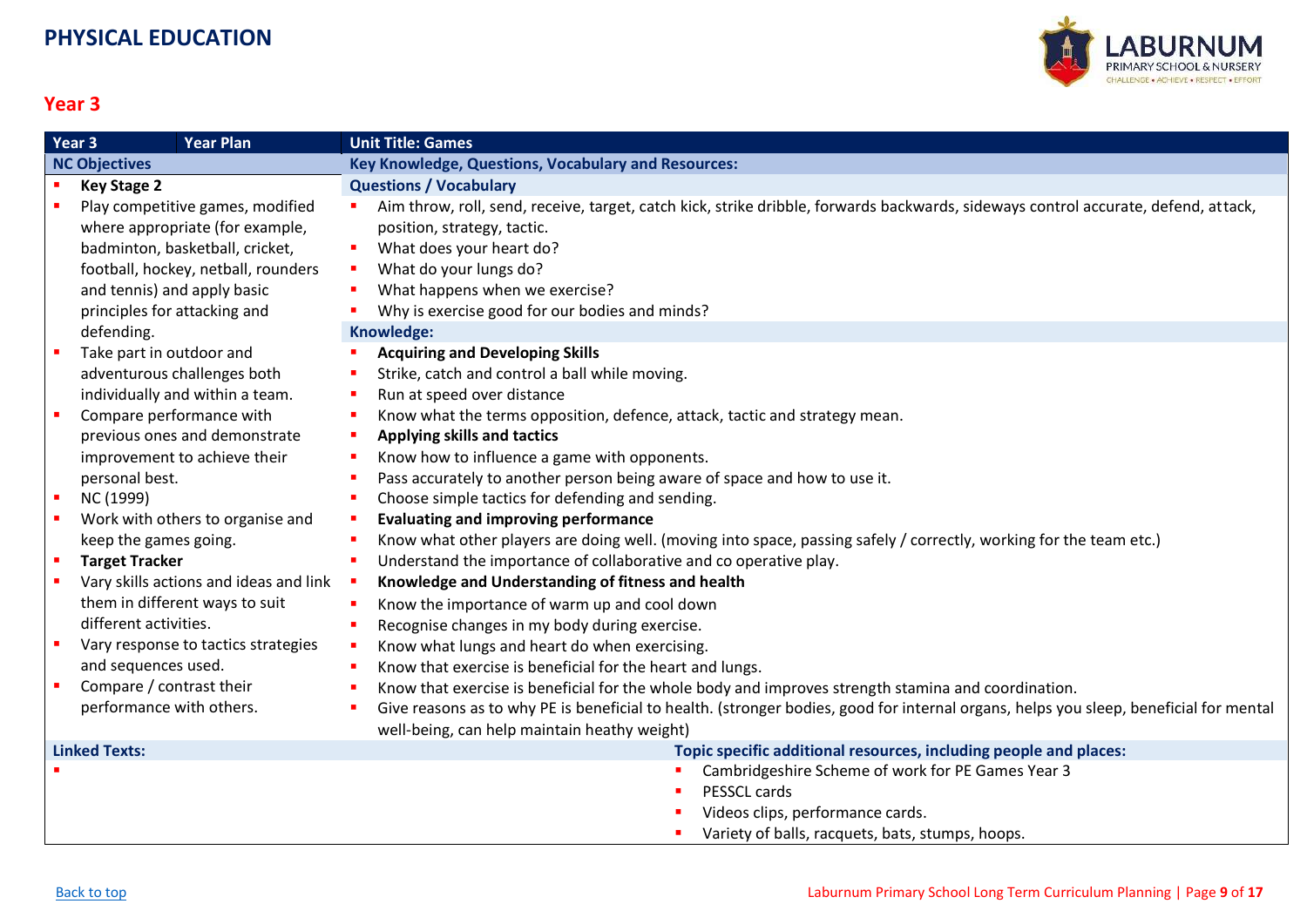

<span id="page-8-0"></span>

|                      | <b>Year Plan</b><br>Year <sub>3</sub>  | <b>Unit Title: Games</b>                                                                                                                   |
|----------------------|----------------------------------------|--------------------------------------------------------------------------------------------------------------------------------------------|
|                      | <b>NC Objectives</b>                   | <b>Key Knowledge, Questions, Vocabulary and Resources:</b>                                                                                 |
|                      | <b>Key Stage 2</b>                     | <b>Questions / Vocabulary</b>                                                                                                              |
|                      | Play competitive games, modified       | Aim throw, roll, send, receive, target, catch kick, strike dribble, forwards backwards, sideways control accurate, defend, attack,<br>٠    |
|                      | where appropriate (for example,        | position, strategy, tactic.                                                                                                                |
|                      | badminton, basketball, cricket,        | What does your heart do?<br>п                                                                                                              |
|                      | football, hockey, netball, rounders    | What do your lungs do?<br>a.                                                                                                               |
|                      | and tennis) and apply basic            | What happens when we exercise?<br>п                                                                                                        |
|                      | principles for attacking and           | Why is exercise good for our bodies and minds?                                                                                             |
|                      | defending.                             | Knowledge:                                                                                                                                 |
|                      | Take part in outdoor and               | <b>Acquiring and Developing Skills</b>                                                                                                     |
|                      | adventurous challenges both            | Strike, catch and control a ball while moving.                                                                                             |
|                      | individually and within a team.        | Run at speed over distance<br>п                                                                                                            |
|                      | Compare performance with               | Know what the terms opposition, defence, attack, tactic and strategy mean.<br>п                                                            |
|                      | previous ones and demonstrate          | Applying skills and tactics<br><b>C</b>                                                                                                    |
|                      | improvement to achieve their           | Know how to influence a game with opponents.<br>٠                                                                                          |
|                      | personal best.                         | Pass accurately to another person being aware of space and how to use it.<br>п                                                             |
|                      | NC (1999)                              | Choose simple tactics for defending and sending.<br>п                                                                                      |
|                      | Work with others to organise and       | <b>Evaluating and improving performance</b><br>п                                                                                           |
|                      | keep the games going.                  | Know what other players are doing well. (moving into space, passing safely / correctly, working for the team etc.)                         |
| л                    | <b>Target Tracker</b>                  | Understand the importance of collaborative and co operative play.<br>п                                                                     |
|                      | Vary skills actions and ideas and link | Knowledge and Understanding of fitness and health<br>$\sim$                                                                                |
|                      | them in different ways to suit         | Know the importance of warm up and cool down<br>×                                                                                          |
|                      | different activities.                  | Recognise changes in my body during exercise.<br>٠                                                                                         |
|                      | Vary response to tactics strategies    | Know what lungs and heart do when exercising.<br>п                                                                                         |
|                      | and sequences used.                    | Know that exercise is beneficial for the heart and lungs.<br>п                                                                             |
|                      | Compare / contrast their               | Know that exercise is beneficial for the whole body and improves strength stamina and coordination.<br>п                                   |
|                      | performance with others.               | Give reasons as to why PE is beneficial to health. (stronger bodies, good for internal organs, helps you sleep, beneficial for mental<br>٠ |
|                      |                                        | well-being, can help maintain heathy weight)                                                                                               |
| <b>Linked Texts:</b> |                                        | Topic specific additional resources, including people and places:                                                                          |
|                      |                                        | Cambridgeshire Scheme of work for PE Games Year 3                                                                                          |
|                      |                                        | PESSCL cards                                                                                                                               |
|                      |                                        | Videos clips, performance cards.                                                                                                           |
|                      |                                        | Variety of balls, racquets, bats, stumps, hoops.                                                                                           |
|                      |                                        |                                                                                                                                            |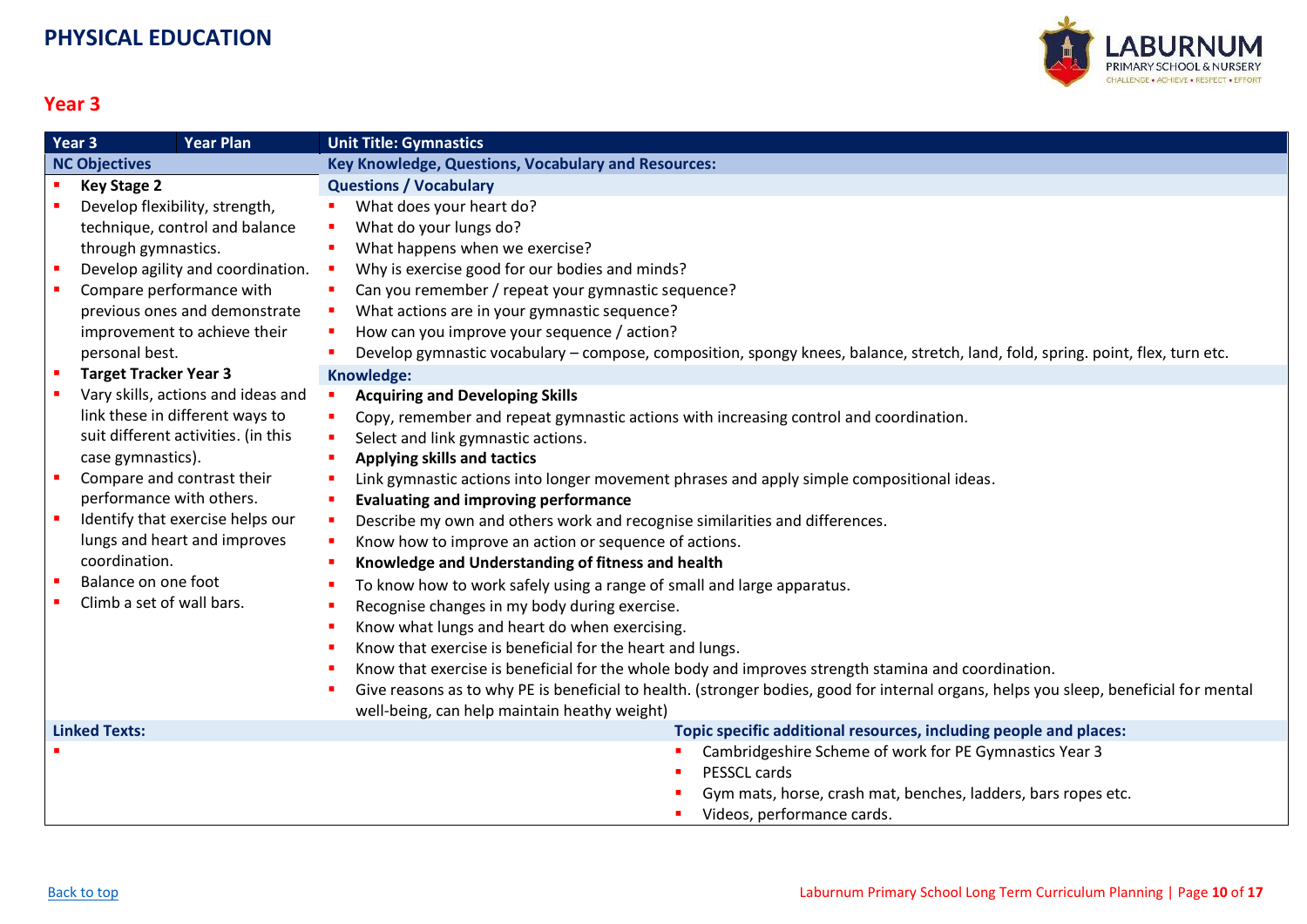

<span id="page-9-0"></span>

|                      | Year <sub>3</sub><br><b>Year Plan</b> | <b>Unit Title: Gymnastics</b>                                                                                                         |
|----------------------|---------------------------------------|---------------------------------------------------------------------------------------------------------------------------------------|
|                      | <b>NC Objectives</b>                  | <b>Key Knowledge, Questions, Vocabulary and Resources:</b>                                                                            |
|                      | <b>Key Stage 2</b>                    | <b>Questions / Vocabulary</b>                                                                                                         |
|                      | Develop flexibility, strength,        | What does your heart do?                                                                                                              |
|                      | technique, control and balance        | What do your lungs do?                                                                                                                |
|                      | through gymnastics.                   | What happens when we exercise?                                                                                                        |
|                      | Develop agility and coordination.     | Why is exercise good for our bodies and minds?<br>$\mathcal{L}_{\mathcal{A}}$                                                         |
| $\blacksquare$       | Compare performance with              | Can you remember / repeat your gymnastic sequence?<br>л.                                                                              |
|                      | previous ones and demonstrate         | What actions are in your gymnastic sequence?<br>a.                                                                                    |
|                      | improvement to achieve their          | How can you improve your sequence / action?                                                                                           |
|                      | personal best.                        | Develop gymnastic vocabulary – compose, composition, spongy knees, balance, stretch, land, fold, spring. point, flex, turn etc.       |
|                      | <b>Target Tracker Year 3</b>          | Knowledge:                                                                                                                            |
|                      | Vary skills, actions and ideas and    | <b>Acquiring and Developing Skills</b>                                                                                                |
|                      | link these in different ways to       | Copy, remember and repeat gymnastic actions with increasing control and coordination.                                                 |
|                      | suit different activities. (in this   | Select and link gymnastic actions.<br>$\blacksquare$                                                                                  |
|                      | case gymnastics).                     | <b>Applying skills and tactics</b>                                                                                                    |
| $\blacksquare$       | Compare and contrast their            | Link gymnastic actions into longer movement phrases and apply simple compositional ideas.                                             |
|                      | performance with others.              | <b>Evaluating and improving performance</b>                                                                                           |
| $\blacksquare$       | Identify that exercise helps our      | Describe my own and others work and recognise similarities and differences.<br>$\blacksquare$                                         |
|                      | lungs and heart and improves          | Know how to improve an action or sequence of actions.                                                                                 |
|                      | coordination.                         | Knowledge and Understanding of fitness and health                                                                                     |
|                      | Balance on one foot                   | To know how to work safely using a range of small and large apparatus.                                                                |
|                      | Climb a set of wall bars.             | Recognise changes in my body during exercise.                                                                                         |
|                      |                                       | Know what lungs and heart do when exercising.                                                                                         |
|                      |                                       | Know that exercise is beneficial for the heart and lungs.                                                                             |
|                      |                                       | Know that exercise is beneficial for the whole body and improves strength stamina and coordination.                                   |
|                      |                                       | Give reasons as to why PE is beneficial to health. (stronger bodies, good for internal organs, helps you sleep, beneficial for mental |
|                      |                                       | well-being, can help maintain heathy weight)                                                                                          |
| <b>Linked Texts:</b> |                                       | Topic specific additional resources, including people and places:                                                                     |
|                      |                                       | Cambridgeshire Scheme of work for PE Gymnastics Year 3                                                                                |
|                      |                                       | PESSCL cards                                                                                                                          |
|                      |                                       | Gym mats, horse, crash mat, benches, ladders, bars ropes etc.                                                                         |
|                      |                                       | Videos, performance cards.                                                                                                            |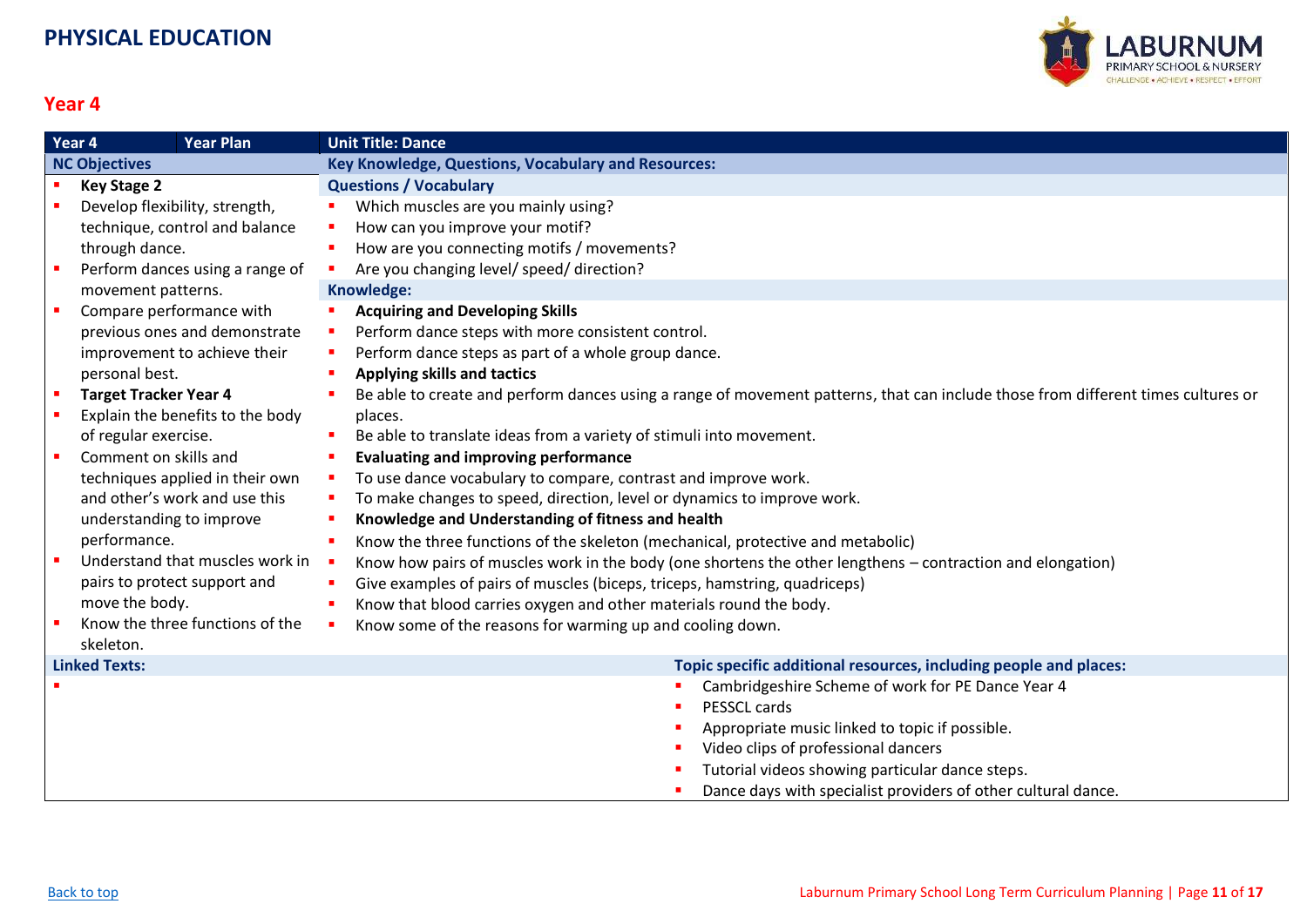

<span id="page-10-0"></span>

|                      | Year 4<br><b>Year Plan</b>       | <b>Unit Title: Dance</b>                                                                                                         |
|----------------------|----------------------------------|----------------------------------------------------------------------------------------------------------------------------------|
| <b>NC Objectives</b> |                                  | Key Knowledge, Questions, Vocabulary and Resources:                                                                              |
|                      | <b>Key Stage 2</b>               | <b>Questions / Vocabulary</b>                                                                                                    |
|                      | Develop flexibility, strength,   | Which muscles are you mainly using?                                                                                              |
|                      | technique, control and balance   | How can you improve your motif?                                                                                                  |
|                      | through dance.                   | How are you connecting motifs / movements?                                                                                       |
|                      | Perform dances using a range of  | Are you changing level/ speed/ direction?                                                                                        |
|                      | movement patterns.               | Knowledge:                                                                                                                       |
|                      | Compare performance with         | <b>Acquiring and Developing Skills</b>                                                                                           |
|                      | previous ones and demonstrate    | Perform dance steps with more consistent control.                                                                                |
|                      | improvement to achieve their     | Perform dance steps as part of a whole group dance.                                                                              |
|                      | personal best.                   | Applying skills and tactics                                                                                                      |
| п                    | <b>Target Tracker Year 4</b>     | Be able to create and perform dances using a range of movement patterns, that can include those from different times cultures or |
|                      | Explain the benefits to the body | places.                                                                                                                          |
|                      | of regular exercise.             | Be able to translate ideas from a variety of stimuli into movement.                                                              |
|                      | Comment on skills and            | <b>Evaluating and improving performance</b>                                                                                      |
|                      | techniques applied in their own  | To use dance vocabulary to compare, contrast and improve work.                                                                   |
|                      | and other's work and use this    | To make changes to speed, direction, level or dynamics to improve work.                                                          |
|                      | understanding to improve         | Knowledge and Understanding of fitness and health                                                                                |
|                      | performance.                     | Know the three functions of the skeleton (mechanical, protective and metabolic)                                                  |
|                      | Understand that muscles work in  | Know how pairs of muscles work in the body (one shortens the other lengthens – contraction and elongation)                       |
|                      | pairs to protect support and     | Give examples of pairs of muscles (biceps, triceps, hamstring, quadriceps)                                                       |
|                      | move the body.                   | Know that blood carries oxygen and other materials round the body.                                                               |
|                      | Know the three functions of the  | Know some of the reasons for warming up and cooling down.                                                                        |
|                      | skeleton.                        |                                                                                                                                  |
|                      | <b>Linked Texts:</b>             | Topic specific additional resources, including people and places:                                                                |
|                      |                                  | Cambridgeshire Scheme of work for PE Dance Year 4                                                                                |
|                      |                                  | PESSCL cards                                                                                                                     |
|                      |                                  | Appropriate music linked to topic if possible.                                                                                   |
|                      |                                  | Video clips of professional dancers                                                                                              |
|                      |                                  | Tutorial videos showing particular dance steps.                                                                                  |
|                      |                                  | Dance days with specialist providers of other cultural dance.                                                                    |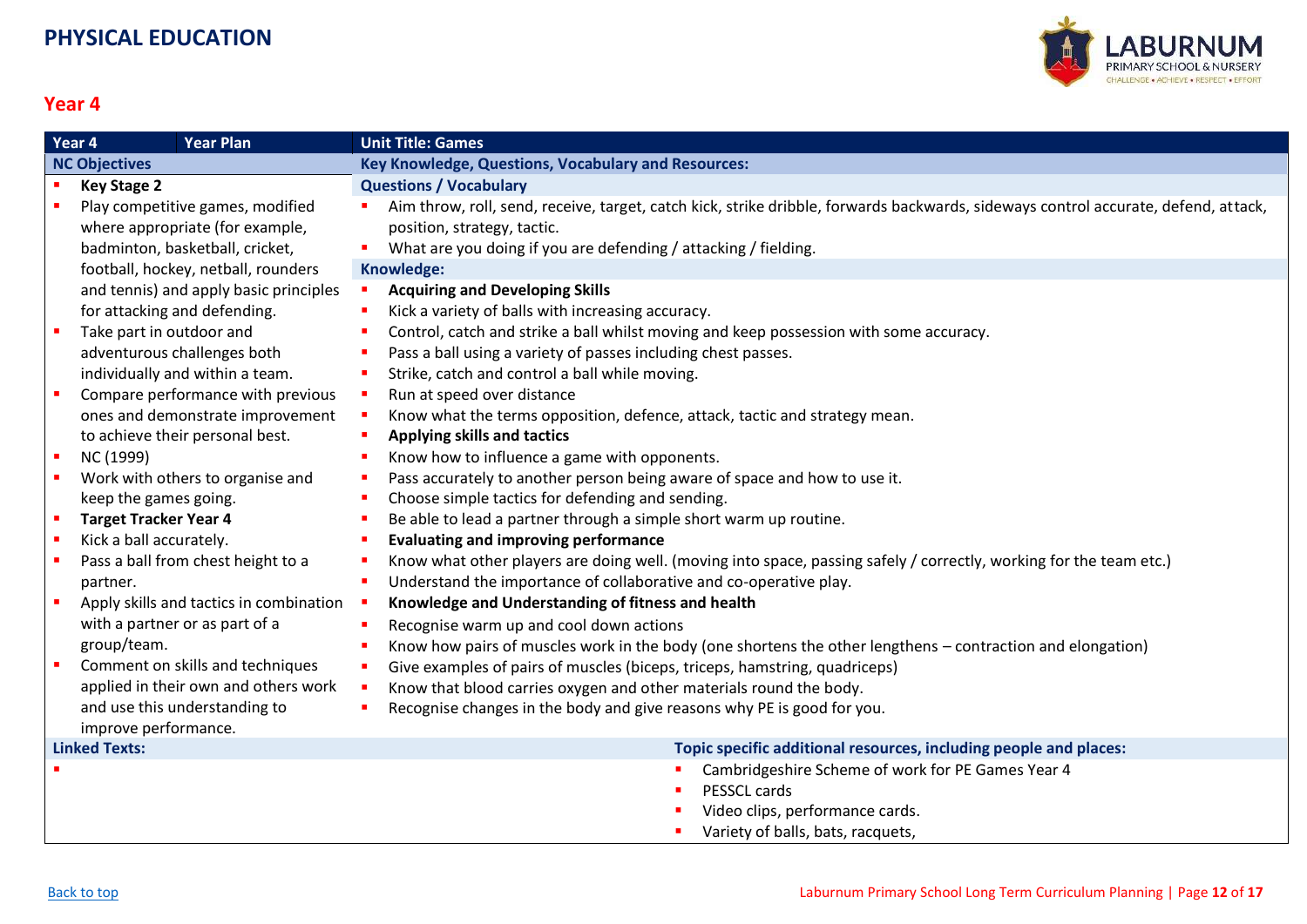

<span id="page-11-0"></span>

|                      | Year 4<br><b>Year Plan</b>              | <b>Unit Title: Games</b>                                                                                                           |
|----------------------|-----------------------------------------|------------------------------------------------------------------------------------------------------------------------------------|
| <b>NC Objectives</b> |                                         | <b>Key Knowledge, Questions, Vocabulary and Resources:</b>                                                                         |
|                      | <b>Key Stage 2</b>                      | <b>Questions / Vocabulary</b>                                                                                                      |
|                      | Play competitive games, modified        | Aim throw, roll, send, receive, target, catch kick, strike dribble, forwards backwards, sideways control accurate, defend, attack, |
|                      | where appropriate (for example,         | position, strategy, tactic.                                                                                                        |
|                      | badminton, basketball, cricket,         | What are you doing if you are defending / attacking / fielding.                                                                    |
|                      | football, hockey, netball, rounders     | Knowledge:                                                                                                                         |
|                      | and tennis) and apply basic principles  | <b>Acquiring and Developing Skills</b><br>$\mathbf{r}$                                                                             |
|                      | for attacking and defending.            | Kick a variety of balls with increasing accuracy.                                                                                  |
|                      | Take part in outdoor and                | Control, catch and strike a ball whilst moving and keep possession with some accuracy.                                             |
|                      | adventurous challenges both             | Pass a ball using a variety of passes including chest passes.                                                                      |
|                      | individually and within a team.         | Strike, catch and control a ball while moving.                                                                                     |
| $\blacksquare$       | Compare performance with previous       | Run at speed over distance<br>т.                                                                                                   |
|                      | ones and demonstrate improvement        | Know what the terms opposition, defence, attack, tactic and strategy mean.                                                         |
|                      | to achieve their personal best.         | <b>Applying skills and tactics</b>                                                                                                 |
| $\blacksquare$       | NC (1999)                               | Know how to influence a game with opponents.                                                                                       |
|                      | Work with others to organise and        | Pass accurately to another person being aware of space and how to use it.                                                          |
|                      | keep the games going.                   | Choose simple tactics for defending and sending.                                                                                   |
| $\blacksquare$       | <b>Target Tracker Year 4</b>            | Be able to lead a partner through a simple short warm up routine.                                                                  |
| $\mathbf{r}$         | Kick a ball accurately.                 | <b>Evaluating and improving performance</b>                                                                                        |
|                      | Pass a ball from chest height to a      | Know what other players are doing well. (moving into space, passing safely / correctly, working for the team etc.)                 |
|                      | partner.                                | Understand the importance of collaborative and co-operative play.                                                                  |
| $\blacksquare$       | Apply skills and tactics in combination | Knowledge and Understanding of fitness and health                                                                                  |
|                      | with a partner or as part of a          | Recognise warm up and cool down actions                                                                                            |
|                      | group/team.                             | Know how pairs of muscles work in the body (one shortens the other lengthens - contraction and elongation)                         |
| $\blacksquare$       | Comment on skills and techniques        | Give examples of pairs of muscles (biceps, triceps, hamstring, quadriceps)                                                         |
|                      | applied in their own and others work    | Know that blood carries oxygen and other materials round the body.                                                                 |
|                      | and use this understanding to           | Recognise changes in the body and give reasons why PE is good for you.                                                             |
|                      | improve performance.                    |                                                                                                                                    |
| <b>Linked Texts:</b> |                                         | Topic specific additional resources, including people and places:                                                                  |
|                      |                                         | Cambridgeshire Scheme of work for PE Games Year 4                                                                                  |
|                      |                                         | PESSCL cards                                                                                                                       |
|                      |                                         | Video clips, performance cards.                                                                                                    |
|                      |                                         | Variety of balls, bats, racquets,                                                                                                  |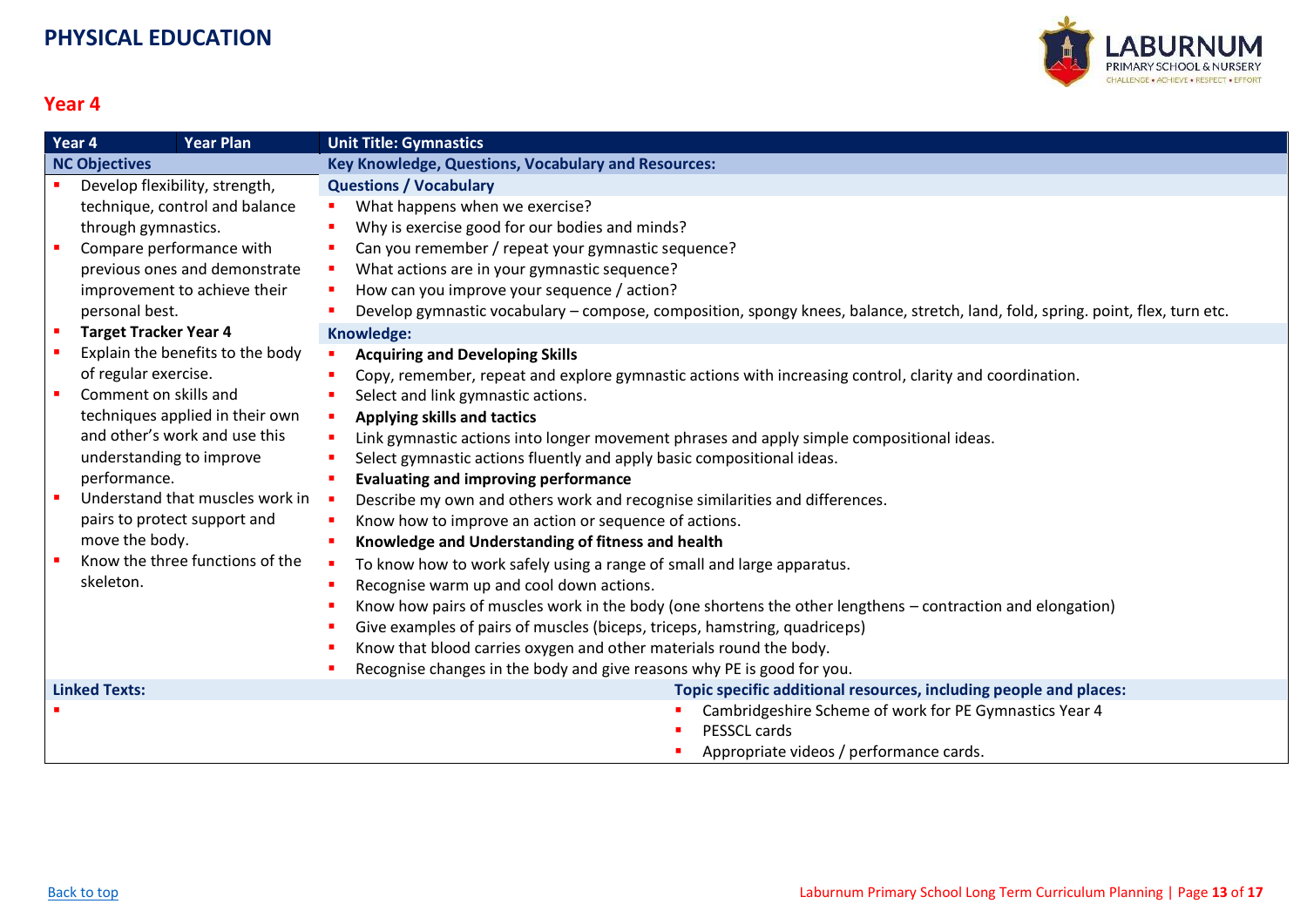

<span id="page-12-0"></span>

| Year 4               |                                | <b>Year Plan</b>                 | <b>Unit Title: Gymnastics</b>                                                                                                   |
|----------------------|--------------------------------|----------------------------------|---------------------------------------------------------------------------------------------------------------------------------|
| <b>NC Objectives</b> |                                |                                  | <b>Key Knowledge, Questions, Vocabulary and Resources:</b>                                                                      |
|                      | Develop flexibility, strength, |                                  | <b>Questions / Vocabulary</b>                                                                                                   |
|                      |                                | technique, control and balance   | What happens when we exercise?<br>×.                                                                                            |
|                      | through gymnastics.            |                                  | Why is exercise good for our bodies and minds?                                                                                  |
|                      | Compare performance with       |                                  | Can you remember / repeat your gymnastic sequence?                                                                              |
|                      |                                | previous ones and demonstrate    | What actions are in your gymnastic sequence?                                                                                    |
|                      |                                | improvement to achieve their     | How can you improve your sequence / action?                                                                                     |
|                      | personal best.                 |                                  | Develop gymnastic vocabulary - compose, composition, spongy knees, balance, stretch, land, fold, spring. point, flex, turn etc. |
|                      | <b>Target Tracker Year 4</b>   |                                  | Knowledge:                                                                                                                      |
|                      |                                | Explain the benefits to the body | <b>Acquiring and Developing Skills</b>                                                                                          |
|                      | of regular exercise.           |                                  | Copy, remember, repeat and explore gymnastic actions with increasing control, clarity and coordination.                         |
|                      | Comment on skills and          |                                  | Select and link gymnastic actions.                                                                                              |
|                      |                                | techniques applied in their own  | Applying skills and tactics                                                                                                     |
|                      |                                | and other's work and use this    | Link gymnastic actions into longer movement phrases and apply simple compositional ideas.                                       |
|                      | understanding to improve       |                                  | Select gymnastic actions fluently and apply basic compositional ideas.                                                          |
|                      | performance.                   |                                  | <b>Evaluating and improving performance</b>                                                                                     |
|                      |                                | Understand that muscles work in  | Describe my own and others work and recognise similarities and differences.                                                     |
|                      |                                | pairs to protect support and     | Know how to improve an action or sequence of actions.                                                                           |
|                      | move the body.                 |                                  | Knowledge and Understanding of fitness and health                                                                               |
|                      |                                | Know the three functions of the  | To know how to work safely using a range of small and large apparatus.                                                          |
|                      | skeleton.                      |                                  | Recognise warm up and cool down actions.                                                                                        |
|                      |                                |                                  | Know how pairs of muscles work in the body (one shortens the other lengthens – contraction and elongation)                      |
|                      |                                |                                  | Give examples of pairs of muscles (biceps, triceps, hamstring, quadriceps)                                                      |
|                      |                                |                                  | Know that blood carries oxygen and other materials round the body.                                                              |
|                      |                                |                                  | Recognise changes in the body and give reasons why PE is good for you.                                                          |
| <b>Linked Texts:</b> |                                |                                  | Topic specific additional resources, including people and places:                                                               |
|                      |                                |                                  | Cambridgeshire Scheme of work for PE Gymnastics Year 4                                                                          |
|                      |                                |                                  | PESSCL cards                                                                                                                    |
|                      |                                |                                  | Appropriate videos / performance cards.                                                                                         |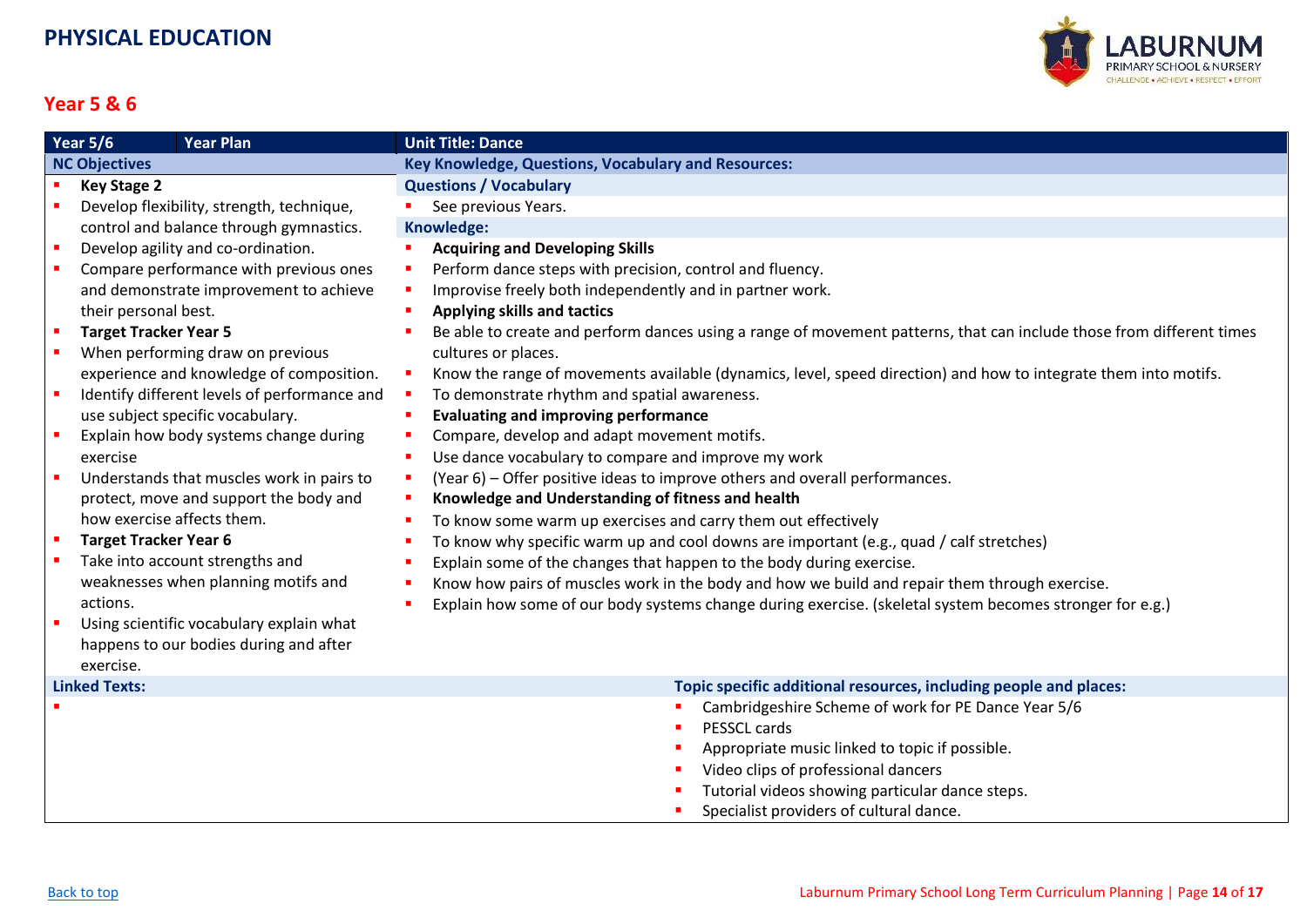

#### **Year 5 & 6**

<span id="page-13-0"></span>

| Year $5/6$           |                              | <b>Year Plan</b>                             | <b>Unit Title: Dance</b>                                                                                             |
|----------------------|------------------------------|----------------------------------------------|----------------------------------------------------------------------------------------------------------------------|
| <b>NC Objectives</b> |                              |                                              | Key Knowledge, Questions, Vocabulary and Resources:                                                                  |
| $\blacksquare$       | <b>Key Stage 2</b>           |                                              | <b>Questions / Vocabulary</b>                                                                                        |
|                      |                              | Develop flexibility, strength, technique,    | See previous Years.                                                                                                  |
|                      |                              | control and balance through gymnastics.      | Knowledge:                                                                                                           |
|                      |                              | Develop agility and co-ordination.           | <b>Acquiring and Developing Skills</b>                                                                               |
|                      |                              | Compare performance with previous ones       | Perform dance steps with precision, control and fluency.                                                             |
|                      |                              | and demonstrate improvement to achieve       | Improvise freely both independently and in partner work.                                                             |
|                      | their personal best.         |                                              | Applying skills and tactics                                                                                          |
|                      | <b>Target Tracker Year 5</b> |                                              | Be able to create and perform dances using a range of movement patterns, that can include those from different times |
|                      |                              | When performing draw on previous             | cultures or places.                                                                                                  |
|                      |                              | experience and knowledge of composition.     | Know the range of movements available (dynamics, level, speed direction) and how to integrate them into motifs.      |
|                      |                              | Identify different levels of performance and | To demonstrate rhythm and spatial awareness.                                                                         |
|                      |                              | use subject specific vocabulary.             | <b>Evaluating and improving performance</b>                                                                          |
|                      |                              | Explain how body systems change during       | Compare, develop and adapt movement motifs.                                                                          |
|                      | exercise                     |                                              | Use dance vocabulary to compare and improve my work                                                                  |
|                      |                              | Understands that muscles work in pairs to    | (Year 6) – Offer positive ideas to improve others and overall performances.                                          |
|                      |                              | protect, move and support the body and       | Knowledge and Understanding of fitness and health                                                                    |
|                      | how exercise affects them.   |                                              | To know some warm up exercises and carry them out effectively                                                        |
|                      | <b>Target Tracker Year 6</b> |                                              | To know why specific warm up and cool downs are important (e.g., quad / calf stretches)                              |
|                      |                              | Take into account strengths and              | Explain some of the changes that happen to the body during exercise.                                                 |
|                      |                              | weaknesses when planning motifs and          | Know how pairs of muscles work in the body and how we build and repair them through exercise.                        |
|                      | actions.                     |                                              | Explain how some of our body systems change during exercise. (skeletal system becomes stronger for e.g.)             |
|                      |                              | Using scientific vocabulary explain what     |                                                                                                                      |
|                      |                              | happens to our bodies during and after       |                                                                                                                      |
|                      | exercise.                    |                                              |                                                                                                                      |
|                      | <b>Linked Texts:</b>         |                                              | Topic specific additional resources, including people and places:                                                    |
|                      |                              |                                              | Cambridgeshire Scheme of work for PE Dance Year 5/6                                                                  |
|                      |                              |                                              | PESSCL cards                                                                                                         |
|                      |                              |                                              | Appropriate music linked to topic if possible.                                                                       |
|                      |                              |                                              | Video clips of professional dancers                                                                                  |
|                      |                              |                                              | Tutorial videos showing particular dance steps.                                                                      |

**Specialist providers of cultural dance.**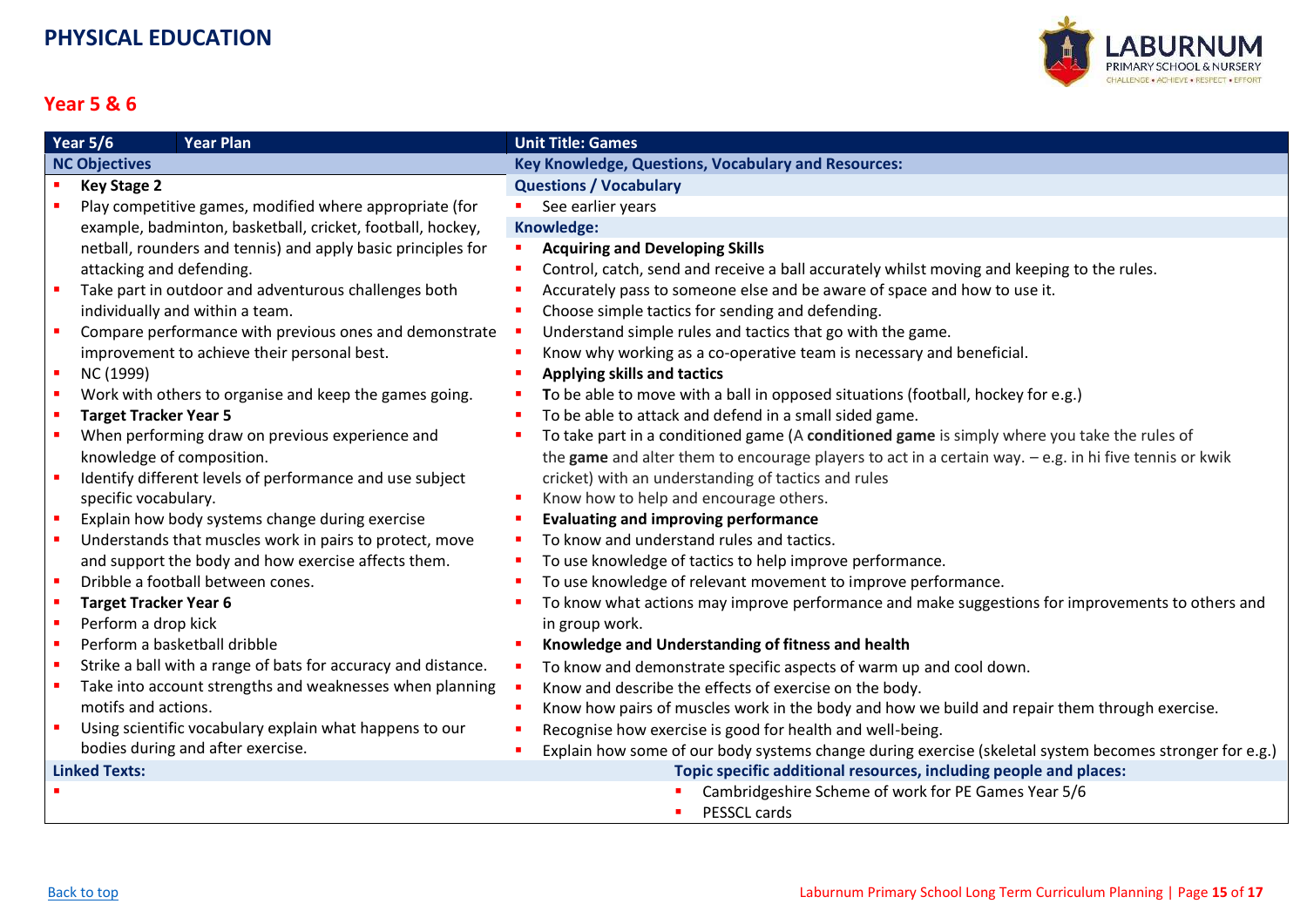

#### **Year 5 & 6**

<span id="page-14-0"></span>

| <b>Year 5/6</b><br><b>Year Plan</b>                           | <b>Unit Title: Games</b>                                                                                |
|---------------------------------------------------------------|---------------------------------------------------------------------------------------------------------|
| <b>NC Objectives</b>                                          | Key Knowledge, Questions, Vocabulary and Resources:                                                     |
| <b>Key Stage 2</b>                                            | <b>Questions / Vocabulary</b>                                                                           |
| Play competitive games, modified where appropriate (for       | See earlier years                                                                                       |
| example, badminton, basketball, cricket, football, hockey,    | Knowledge:                                                                                              |
| netball, rounders and tennis) and apply basic principles for  | <b>Acquiring and Developing Skills</b>                                                                  |
| attacking and defending.                                      | Control, catch, send and receive a ball accurately whilst moving and keeping to the rules.              |
| Take part in outdoor and adventurous challenges both          | Accurately pass to someone else and be aware of space and how to use it.                                |
| individually and within a team.                               | Choose simple tactics for sending and defending.                                                        |
| Compare performance with previous ones and demonstrate        | Understand simple rules and tactics that go with the game.                                              |
| improvement to achieve their personal best.                   | Know why working as a co-operative team is necessary and beneficial.                                    |
| NC (1999)                                                     | Applying skills and tactics                                                                             |
| Work with others to organise and keep the games going.        | To be able to move with a ball in opposed situations (football, hockey for e.g.)                        |
| <b>Target Tracker Year 5</b>                                  | To be able to attack and defend in a small sided game.                                                  |
| When performing draw on previous experience and               | To take part in a conditioned game (A conditioned game is simply where you take the rules of            |
| knowledge of composition.                                     | the game and alter them to encourage players to act in a certain way. - e.g. in hi five tennis or kwik  |
| Identify different levels of performance and use subject      | cricket) with an understanding of tactics and rules                                                     |
| specific vocabulary.                                          | Know how to help and encourage others.                                                                  |
| Explain how body systems change during exercise               | <b>Evaluating and improving performance</b>                                                             |
| Understands that muscles work in pairs to protect, move       | To know and understand rules and tactics.                                                               |
| and support the body and how exercise affects them.           | To use knowledge of tactics to help improve performance.                                                |
| Dribble a football between cones.                             | To use knowledge of relevant movement to improve performance.                                           |
| <b>Target Tracker Year 6</b>                                  | To know what actions may improve performance and make suggestions for improvements to others and        |
| Perform a drop kick                                           | in group work.                                                                                          |
| Perform a basketball dribble                                  | Knowledge and Understanding of fitness and health                                                       |
| Strike a ball with a range of bats for accuracy and distance. | To know and demonstrate specific aspects of warm up and cool down.                                      |
| Take into account strengths and weaknesses when planning      | Know and describe the effects of exercise on the body.                                                  |
| motifs and actions.                                           | Know how pairs of muscles work in the body and how we build and repair them through exercise.           |
| Using scientific vocabulary explain what happens to our       | Recognise how exercise is good for health and well-being.                                               |
| bodies during and after exercise.                             | Explain how some of our body systems change during exercise (skeletal system becomes stronger for e.g.) |
| <b>Linked Texts:</b>                                          | Topic specific additional resources, including people and places:                                       |
|                                                               | Cambridgeshire Scheme of work for PE Games Year 5/6                                                     |
|                                                               | PESSCL cards                                                                                            |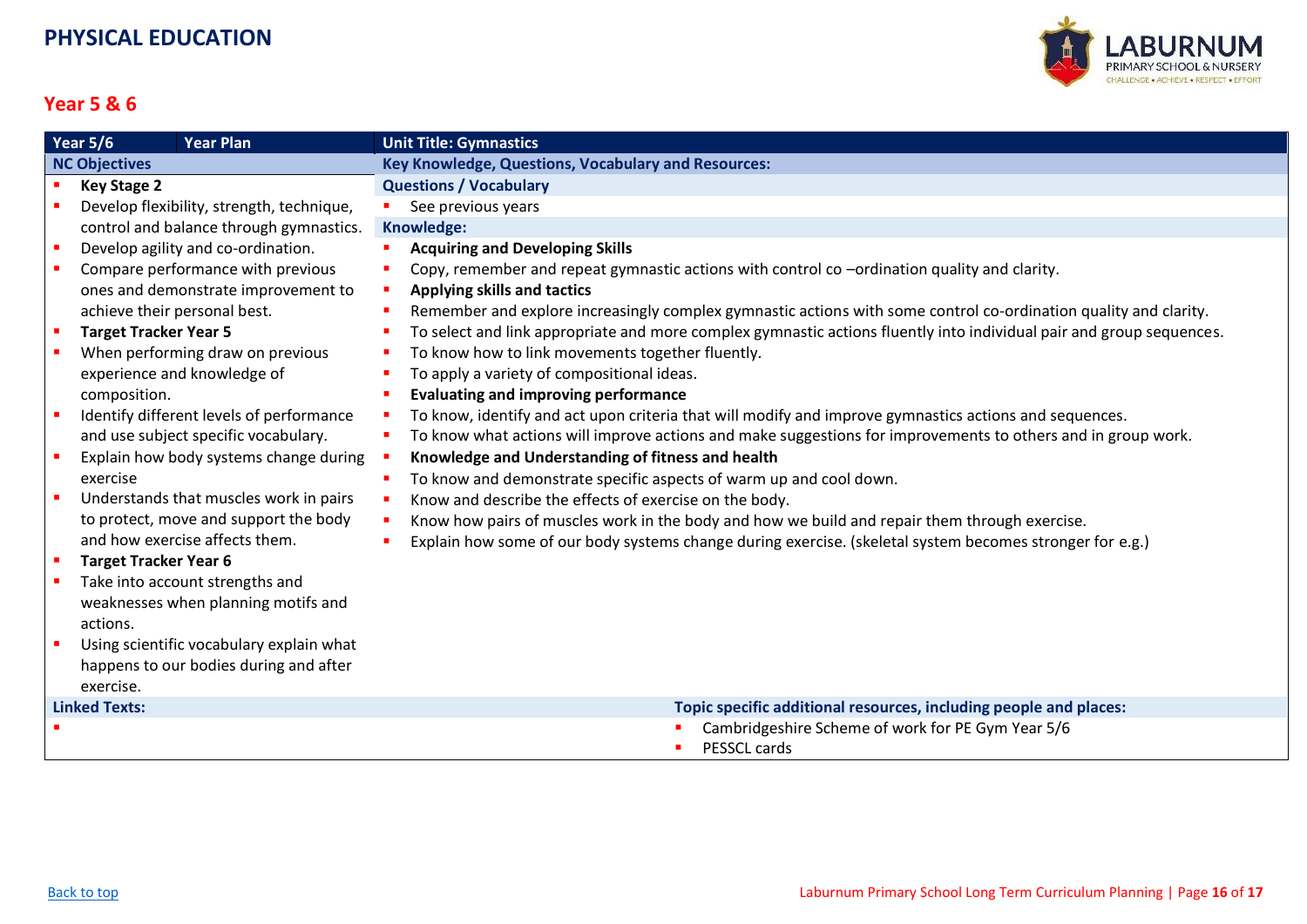

#### **Year 5 & 6**

<span id="page-15-0"></span>

| Year $5/6$<br><b>Year Plan</b> |                                           | <b>Unit Title: Gymnastics</b>                                                                                         |
|--------------------------------|-------------------------------------------|-----------------------------------------------------------------------------------------------------------------------|
| <b>NC Objectives</b>           |                                           | <b>Key Knowledge, Questions, Vocabulary and Resources:</b>                                                            |
|                                | <b>Key Stage 2</b>                        | <b>Questions / Vocabulary</b>                                                                                         |
|                                | Develop flexibility, strength, technique, | See previous years                                                                                                    |
|                                | control and balance through gymnastics.   | Knowledge:                                                                                                            |
| $\blacksquare$                 | Develop agility and co-ordination.        | <b>Acquiring and Developing Skills</b>                                                                                |
|                                | Compare performance with previous         | Copy, remember and repeat gymnastic actions with control co -ordination quality and clarity.<br>п                     |
|                                | ones and demonstrate improvement to       | <b>Applying skills and tactics</b><br>×                                                                               |
|                                | achieve their personal best.              | Remember and explore increasingly complex gymnastic actions with some control co-ordination quality and clarity.<br>п |
| $\overline{\phantom{a}}$       | <b>Target Tracker Year 5</b>              | To select and link appropriate and more complex gymnastic actions fluently into individual pair and group sequences.  |
|                                | When performing draw on previous          | To know how to link movements together fluently.<br>г                                                                 |
|                                | experience and knowledge of               | To apply a variety of compositional ideas.                                                                            |
|                                | composition.                              | <b>Evaluating and improving performance</b>                                                                           |
|                                | Identify different levels of performance  | To know, identify and act upon criteria that will modify and improve gymnastics actions and sequences.                |
|                                | and use subject specific vocabulary.      | To know what actions will improve actions and make suggestions for improvements to others and in group work.          |
|                                | Explain how body systems change during    | Knowledge and Understanding of fitness and health                                                                     |
|                                | exercise                                  | To know and demonstrate specific aspects of warm up and cool down.<br>п                                               |
|                                | Understands that muscles work in pairs    | Know and describe the effects of exercise on the body.<br>п                                                           |
|                                | to protect, move and support the body     | Know how pairs of muscles work in the body and how we build and repair them through exercise.<br>٠                    |
|                                | and how exercise affects them.            | Explain how some of our body systems change during exercise. (skeletal system becomes stronger for e.g.)              |
| $\blacksquare$                 | <b>Target Tracker Year 6</b>              |                                                                                                                       |
|                                | Take into account strengths and           |                                                                                                                       |
|                                | weaknesses when planning motifs and       |                                                                                                                       |
|                                | actions.                                  |                                                                                                                       |
|                                | Using scientific vocabulary explain what  |                                                                                                                       |
|                                | happens to our bodies during and after    |                                                                                                                       |
|                                | exercise.                                 |                                                                                                                       |
|                                | <b>Linked Texts:</b>                      | Topic specific additional resources, including people and places:                                                     |
|                                |                                           | Cambridgeshire Scheme of work for PE Gym Year 5/6                                                                     |
|                                |                                           | PESSCL cards                                                                                                          |